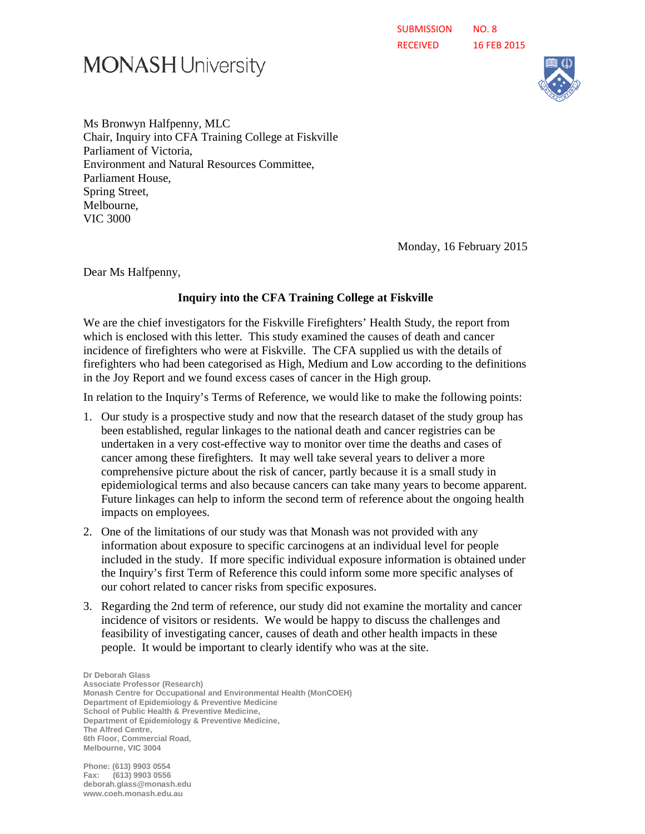# **MONASH University**



Ms Bronwyn Halfpenny, MLC Chair, Inquiry into CFA Training College at Fiskville Parliament of Victoria, Environment and Natural Resources Committee, Parliament House, Spring Street, Melbourne, VIC 3000

Monday, 16 February 2015

Dear Ms Halfpenny,

#### **Inquiry into the CFA Training College at Fiskville**

We are the chief investigators for the Fiskville Firefighters' Health Study, the report from which is enclosed with this letter. This study examined the causes of death and cancer incidence of firefighters who were at Fiskville. The CFA supplied us with the details of firefighters who had been categorised as High, Medium and Low according to the definitions in the Joy Report and we found excess cases of cancer in the High group.

In relation to the Inquiry's Terms of Reference, we would like to make the following points:

- 1. Our study is a prospective study and now that the research dataset of the study group has been established, regular linkages to the national death and cancer registries can be undertaken in a very cost-effective way to monitor over time the deaths and cases of cancer among these firefighters. It may well take several years to deliver a more comprehensive picture about the risk of cancer, partly because it is a small study in epidemiological terms and also because cancers can take many years to become apparent. Future linkages can help to inform the second term of reference about the ongoing health impacts on employees.
- 2. One of the limitations of our study was that Monash was not provided with any information about exposure to specific carcinogens at an individual level for people included in the study. If more specific individual exposure information is obtained under the Inquiry's first Term of Reference this could inform some more specific analyses of our cohort related to cancer risks from specific exposures.
- 3. Regarding the 2nd term of reference, our study did not examine the mortality and cancer incidence of visitors or residents. We would be happy to discuss the challenges and feasibility of investigating cancer, causes of death and other health impacts in these people. It would be important to clearly identify who was at the site.

**Dr Deborah Glass Associate Professor (Research) Monash Centre for Occupational and Environmental Health (MonCOEH) Department of Epidemiology & Preventive Medicine School of Public Health & Preventive Medicine, Department of Epidemiology & Preventive Medicine, The Alfred Centre, 6th Floor, Commercial Road, Melbourne, VIC 3004** 

**Phone: (613) 9903 0554 Fax: (613) 9903 0556 deborah.glass@monash.edu www.coeh.monash.edu.au**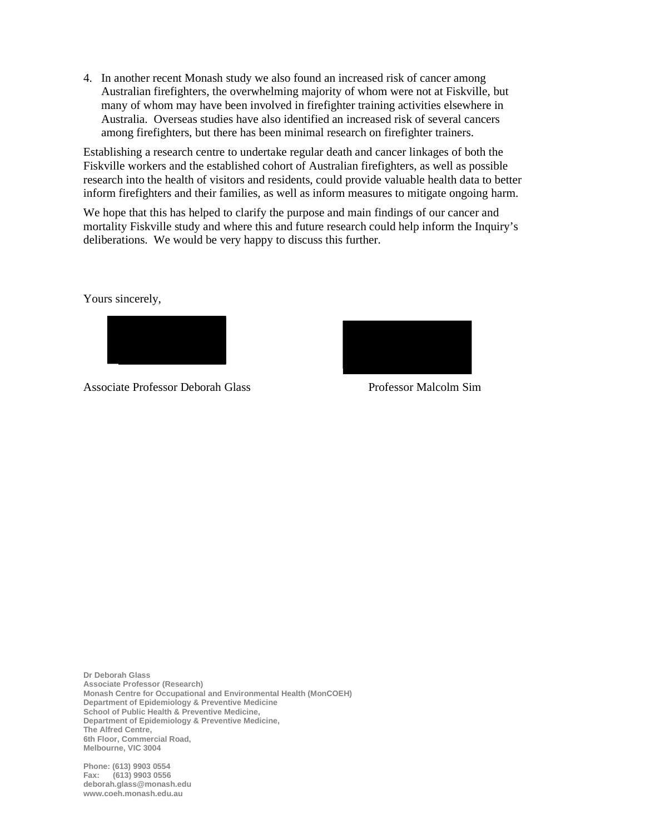4. In another recent Monash study we also found an increased risk of cancer among Australian firefighters, the overwhelming majority of whom were not at Fiskville, but many of whom may have been involved in firefighter training activities elsewhere in Australia. Overseas studies have also identified an increased risk of several cancers among firefighters, but there has been minimal research on firefighter trainers.

Establishing a research centre to undertake regular death and cancer linkages of both the Fiskville workers and the established cohort of Australian firefighters, as well as possible research into the health of visitors and residents, could provide valuable health data to better inform firefighters and their families, as well as inform measures to mitigate ongoing harm.

We hope that this has helped to clarify the purpose and main findings of our cancer and mortality Fiskville study and where this and future research could help inform the Inquiry's deliberations. We would be very happy to discuss this further.

Yours sincerely,



Associate Professor Deborah Glass Professor Malcolm Sim



**Dr Deborah Glass Associate Professor (Research) Monash Centre for Occupational and Environmental Health (MonCOEH) Department of Epidemiology & Preventive Medicine School of Public Health & Preventive Medicine, Department of Epidemiology & Preventive Medicine, The Alfred Centre, 6th Floor, Commercial Road, Melbourne, VIC 3004** 

**Phone: (613) 9903 0554 Fax: (613) 9903 0556 deborah.glass@monash.edu www.coeh.monash.edu.au**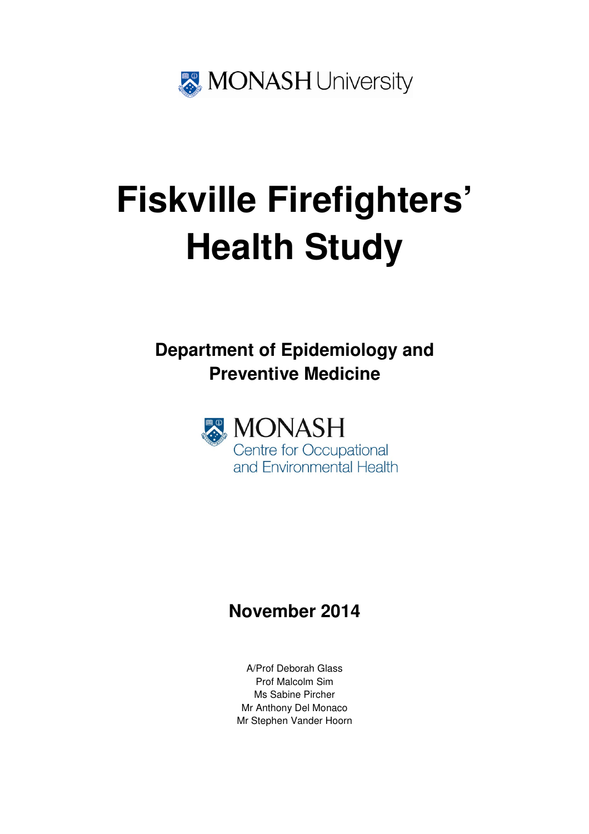

# **Fiskville Firefighters' Health Study**

**Department of Epidemiology and Preventive Medicine** 



# **November 2014**

A/Prof Deborah Glass Prof Malcolm Sim Ms Sabine Pircher Mr Anthony Del Monaco Mr Stephen Vander Hoorn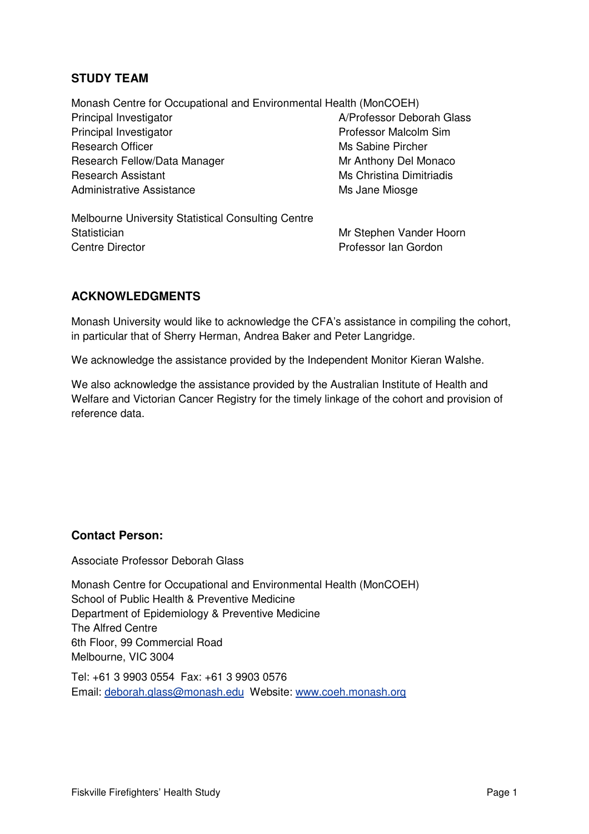#### **STUDY TEAM**

Monash Centre for Occupational and Environmental Health (MonCOEH) Principal Investigator **A/Professor Deborah Glass** Principal Investigator **Professor Malcolm Sim** Professor Malcolm Sim Research Officer **Ms Sabine Pircher** Ms Sabine Pircher Research Fellow/Data Manager Mr Anthony Del Monaco Research Assistant Ms Christina Dimitriadis Administrative Assistance Ms Jane Miosge

Melbourne University Statistical Consulting Centre Statistician Mr Stephen Vander Hoorn Centre Director **Professor Ian Gordon** 

#### **ACKNOWLEDGMENTS**

Monash University would like to acknowledge the CFA's assistance in compiling the cohort, in particular that of Sherry Herman, Andrea Baker and Peter Langridge.

We acknowledge the assistance provided by the Independent Monitor Kieran Walshe.

We also acknowledge the assistance provided by the Australian Institute of Health and Welfare and Victorian Cancer Registry for the timely linkage of the cohort and provision of reference data.

#### **Contact Person:**

Associate Professor Deborah Glass

Monash Centre for Occupational and Environmental Health (MonCOEH) School of Public Health & Preventive Medicine Department of Epidemiology & Preventive Medicine The Alfred Centre 6th Floor, 99 Commercial Road Melbourne, VIC 3004

Tel: +61 3 9903 0554 Fax: +61 3 9903 0576 Email: deborah.glass@monash.edu Website: www.coeh.monash.org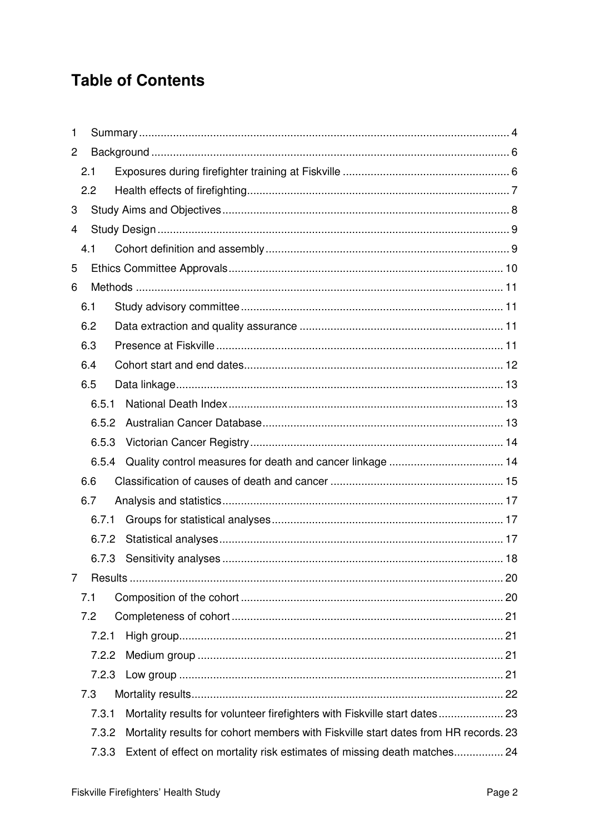# **Table of Contents**

| 1              |     |       |                                                                                     |  |
|----------------|-----|-------|-------------------------------------------------------------------------------------|--|
| $\overline{c}$ |     |       |                                                                                     |  |
|                | 2.1 |       |                                                                                     |  |
|                | 2.2 |       |                                                                                     |  |
| 3              |     |       |                                                                                     |  |
| 4              |     |       |                                                                                     |  |
|                | 4.1 |       |                                                                                     |  |
| 5              |     |       |                                                                                     |  |
| 6              |     |       |                                                                                     |  |
|                | 6.1 |       |                                                                                     |  |
|                | 6.2 |       |                                                                                     |  |
|                | 6.3 |       |                                                                                     |  |
|                | 6.4 |       |                                                                                     |  |
|                | 6.5 |       |                                                                                     |  |
|                |     | 6.5.1 |                                                                                     |  |
|                |     | 6.5.2 |                                                                                     |  |
|                |     | 6.5.3 |                                                                                     |  |
|                |     | 6.5.4 |                                                                                     |  |
|                | 6.6 |       |                                                                                     |  |
|                | 6.7 |       |                                                                                     |  |
|                |     | 6.7.1 |                                                                                     |  |
|                |     | 6.7.2 |                                                                                     |  |
|                |     | 6.7.3 |                                                                                     |  |
| 7              |     |       |                                                                                     |  |
|                | 7.1 |       |                                                                                     |  |
|                | 7.2 |       |                                                                                     |  |
|                |     | 7.2.1 |                                                                                     |  |
|                |     | 7.2.2 |                                                                                     |  |
|                |     | 7.2.3 |                                                                                     |  |
|                | 7.3 |       |                                                                                     |  |
|                |     | 7.3.1 | Mortality results for volunteer firefighters with Fiskville start dates 23          |  |
|                |     | 7.3.2 | Mortality results for cohort members with Fiskville start dates from HR records. 23 |  |
|                |     | 7.3.3 | Extent of effect on mortality risk estimates of missing death matches 24            |  |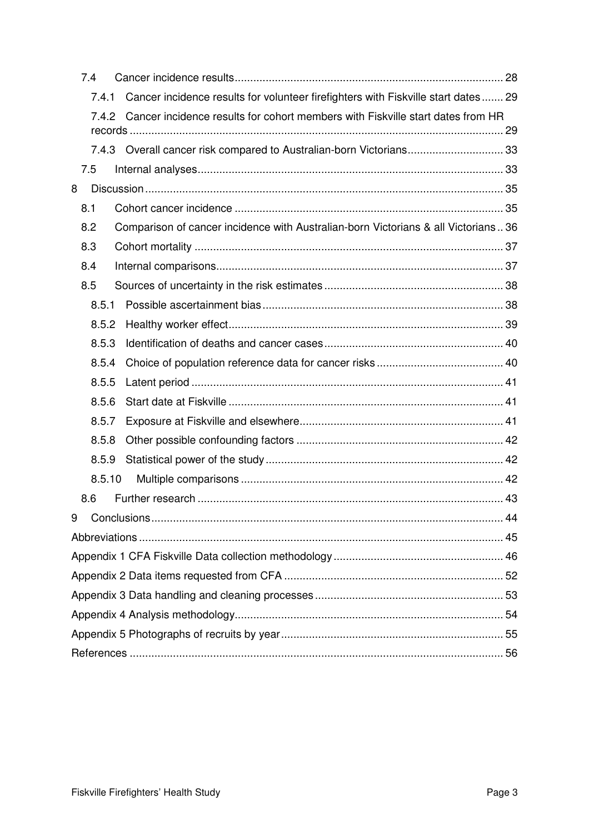| 7.4                                                                                        |  |
|--------------------------------------------------------------------------------------------|--|
| Cancer incidence results for volunteer firefighters with Fiskville start dates 29<br>7.4.1 |  |
| Cancer incidence results for cohort members with Fiskville start dates from HR<br>7.4.2    |  |
|                                                                                            |  |
| 7.4.3 Overall cancer risk compared to Australian-born Victorians 33                        |  |
| 7.5                                                                                        |  |
| 8                                                                                          |  |
| 8.1                                                                                        |  |
| 8.2<br>Comparison of cancer incidence with Australian-born Victorians & all Victorians36   |  |
| 8.3                                                                                        |  |
| 8.4                                                                                        |  |
| 8.5                                                                                        |  |
| 8.5.1                                                                                      |  |
| 8.5.2                                                                                      |  |
| 8.5.3                                                                                      |  |
| 8.5.4                                                                                      |  |
| 8.5.5                                                                                      |  |
| 8.5.6                                                                                      |  |
| 8.5.7                                                                                      |  |
| 8.5.8                                                                                      |  |
| 8.5.9                                                                                      |  |
| 8.5.10                                                                                     |  |
| 8.6                                                                                        |  |
| 9                                                                                          |  |
|                                                                                            |  |
|                                                                                            |  |
|                                                                                            |  |
|                                                                                            |  |
|                                                                                            |  |
|                                                                                            |  |
|                                                                                            |  |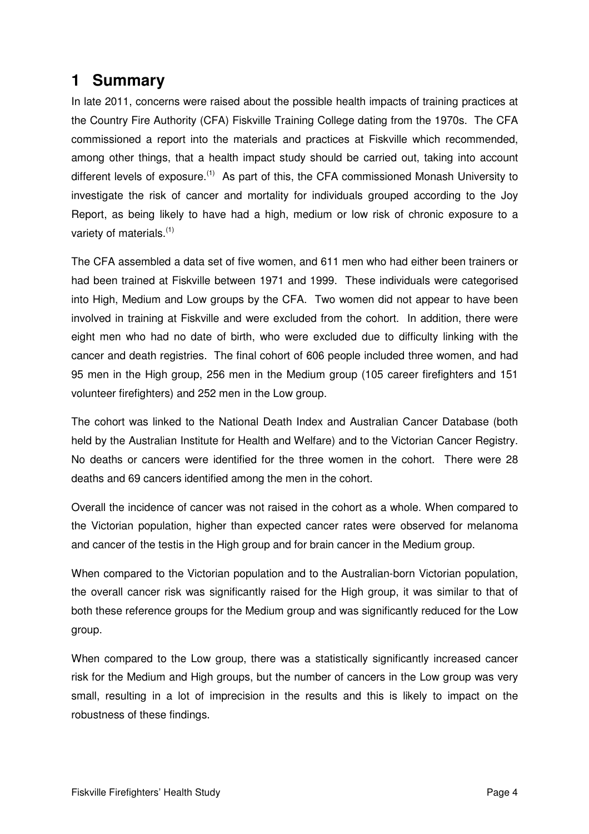# **1 Summary**

In late 2011, concerns were raised about the possible health impacts of training practices at the Country Fire Authority (CFA) Fiskville Training College dating from the 1970s. The CFA commissioned a report into the materials and practices at Fiskville which recommended, among other things, that a health impact study should be carried out, taking into account different levels of exposure.<sup>(1)</sup> As part of this, the CFA commissioned Monash University to investigate the risk of cancer and mortality for individuals grouped according to the Joy Report, as being likely to have had a high, medium or low risk of chronic exposure to a variety of materials.<sup>(1)</sup>

The CFA assembled a data set of five women, and 611 men who had either been trainers or had been trained at Fiskville between 1971 and 1999. These individuals were categorised into High, Medium and Low groups by the CFA. Two women did not appear to have been involved in training at Fiskville and were excluded from the cohort. In addition, there were eight men who had no date of birth, who were excluded due to difficulty linking with the cancer and death registries. The final cohort of 606 people included three women, and had 95 men in the High group, 256 men in the Medium group (105 career firefighters and 151 volunteer firefighters) and 252 men in the Low group.

The cohort was linked to the National Death Index and Australian Cancer Database (both held by the Australian Institute for Health and Welfare) and to the Victorian Cancer Registry. No deaths or cancers were identified for the three women in the cohort. There were 28 deaths and 69 cancers identified among the men in the cohort.

Overall the incidence of cancer was not raised in the cohort as a whole. When compared to the Victorian population, higher than expected cancer rates were observed for melanoma and cancer of the testis in the High group and for brain cancer in the Medium group.

When compared to the Victorian population and to the Australian-born Victorian population, the overall cancer risk was significantly raised for the High group, it was similar to that of both these reference groups for the Medium group and was significantly reduced for the Low group.

When compared to the Low group, there was a statistically significantly increased cancer risk for the Medium and High groups, but the number of cancers in the Low group was very small, resulting in a lot of imprecision in the results and this is likely to impact on the robustness of these findings.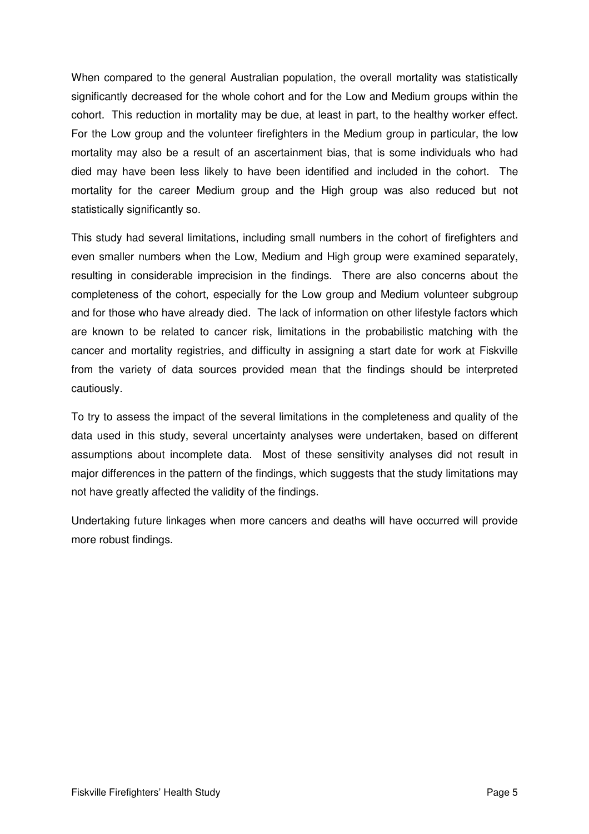When compared to the general Australian population, the overall mortality was statistically significantly decreased for the whole cohort and for the Low and Medium groups within the cohort. This reduction in mortality may be due, at least in part, to the healthy worker effect. For the Low group and the volunteer firefighters in the Medium group in particular, the low mortality may also be a result of an ascertainment bias, that is some individuals who had died may have been less likely to have been identified and included in the cohort. The mortality for the career Medium group and the High group was also reduced but not statistically significantly so.

This study had several limitations, including small numbers in the cohort of firefighters and even smaller numbers when the Low, Medium and High group were examined separately, resulting in considerable imprecision in the findings. There are also concerns about the completeness of the cohort, especially for the Low group and Medium volunteer subgroup and for those who have already died. The lack of information on other lifestyle factors which are known to be related to cancer risk, limitations in the probabilistic matching with the cancer and mortality registries, and difficulty in assigning a start date for work at Fiskville from the variety of data sources provided mean that the findings should be interpreted cautiously.

To try to assess the impact of the several limitations in the completeness and quality of the data used in this study, several uncertainty analyses were undertaken, based on different assumptions about incomplete data. Most of these sensitivity analyses did not result in major differences in the pattern of the findings, which suggests that the study limitations may not have greatly affected the validity of the findings.

Undertaking future linkages when more cancers and deaths will have occurred will provide more robust findings.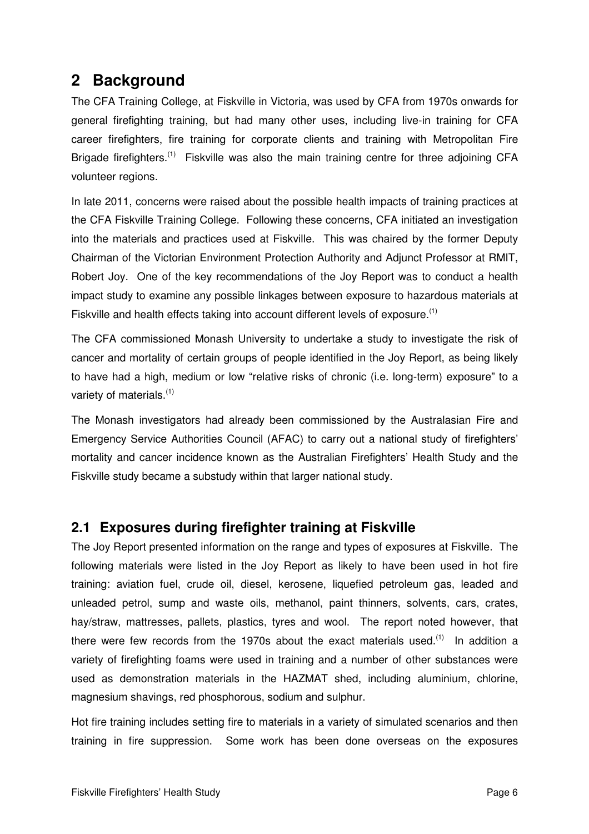# **2 Background**

The CFA Training College, at Fiskville in Victoria, was used by CFA from 1970s onwards for general firefighting training, but had many other uses, including live-in training for CFA career firefighters, fire training for corporate clients and training with Metropolitan Fire Brigade firefighters.<sup>(1)</sup> Fiskville was also the main training centre for three adjoining CFA volunteer regions.

In late 2011, concerns were raised about the possible health impacts of training practices at the CFA Fiskville Training College. Following these concerns, CFA initiated an investigation into the materials and practices used at Fiskville. This was chaired by the former Deputy Chairman of the Victorian Environment Protection Authority and Adjunct Professor at RMIT, Robert Joy. One of the key recommendations of the Joy Report was to conduct a health impact study to examine any possible linkages between exposure to hazardous materials at Fiskville and health effects taking into account different levels of exposure.<sup>(1)</sup>

The CFA commissioned Monash University to undertake a study to investigate the risk of cancer and mortality of certain groups of people identified in the Joy Report, as being likely to have had a high, medium or low "relative risks of chronic (i.e. long-term) exposure" to a variety of materials.<sup>(1)</sup>

The Monash investigators had already been commissioned by the Australasian Fire and Emergency Service Authorities Council (AFAC) to carry out a national study of firefighters' mortality and cancer incidence known as the Australian Firefighters' Health Study and the Fiskville study became a substudy within that larger national study.

## **2.1 Exposures during firefighter training at Fiskville**

The Joy Report presented information on the range and types of exposures at Fiskville. The following materials were listed in the Joy Report as likely to have been used in hot fire training: aviation fuel, crude oil, diesel, kerosene, liquefied petroleum gas, leaded and unleaded petrol, sump and waste oils, methanol, paint thinners, solvents, cars, crates, hay/straw, mattresses, pallets, plastics, tyres and wool. The report noted however, that there were few records from the 1970s about the exact materials used.<sup> $(1)$ </sup> In addition a variety of firefighting foams were used in training and a number of other substances were used as demonstration materials in the HAZMAT shed, including aluminium, chlorine, magnesium shavings, red phosphorous, sodium and sulphur.

Hot fire training includes setting fire to materials in a variety of simulated scenarios and then training in fire suppression. Some work has been done overseas on the exposures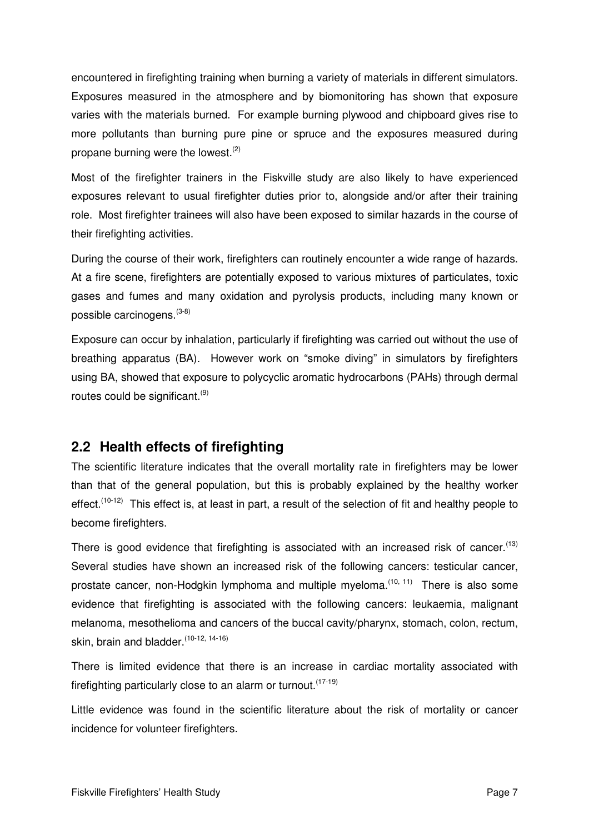encountered in firefighting training when burning a variety of materials in different simulators. Exposures measured in the atmosphere and by biomonitoring has shown that exposure varies with the materials burned. For example burning plywood and chipboard gives rise to more pollutants than burning pure pine or spruce and the exposures measured during propane burning were the lowest.<sup>(2)</sup>

Most of the firefighter trainers in the Fiskville study are also likely to have experienced exposures relevant to usual firefighter duties prior to, alongside and/or after their training role. Most firefighter trainees will also have been exposed to similar hazards in the course of their firefighting activities.

During the course of their work, firefighters can routinely encounter a wide range of hazards. At a fire scene, firefighters are potentially exposed to various mixtures of particulates, toxic gases and fumes and many oxidation and pyrolysis products, including many known or possible carcinogens.(3-8)

Exposure can occur by inhalation, particularly if firefighting was carried out without the use of breathing apparatus (BA). However work on "smoke diving" in simulators by firefighters using BA, showed that exposure to polycyclic aromatic hydrocarbons (PAHs) through dermal routes could be significant.  $(9)$ 

## **2.2 Health effects of firefighting**

The scientific literature indicates that the overall mortality rate in firefighters may be lower than that of the general population, but this is probably explained by the healthy worker effect.<sup> $(10-12)$ </sup> This effect is, at least in part, a result of the selection of fit and healthy people to become firefighters.

There is good evidence that firefighting is associated with an increased risk of cancer.<sup>(13)</sup> Several studies have shown an increased risk of the following cancers: testicular cancer, prostate cancer, non-Hodgkin lymphoma and multiple myeloma.<sup>(10, 11)</sup> There is also some evidence that firefighting is associated with the following cancers: leukaemia, malignant melanoma, mesothelioma and cancers of the buccal cavity/pharynx, stomach, colon, rectum, skin, brain and bladder.<sup>(10-12, 14-16)</sup>

There is limited evidence that there is an increase in cardiac mortality associated with firefighting particularly close to an alarm or turnout.<sup>(17-19)</sup>

Little evidence was found in the scientific literature about the risk of mortality or cancer incidence for volunteer firefighters.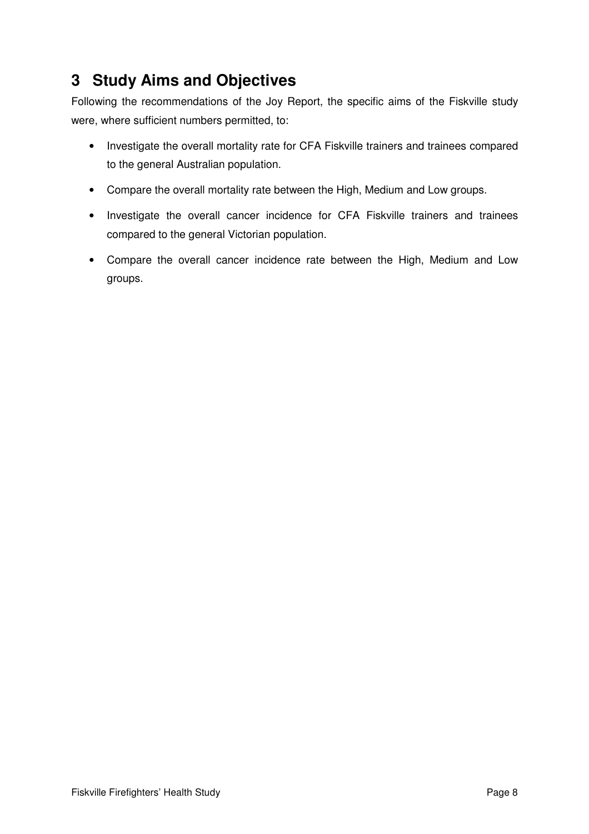# **3 Study Aims and Objectives**

Following the recommendations of the Joy Report, the specific aims of the Fiskville study were, where sufficient numbers permitted, to:

- Investigate the overall mortality rate for CFA Fiskville trainers and trainees compared to the general Australian population.
- Compare the overall mortality rate between the High, Medium and Low groups.
- Investigate the overall cancer incidence for CFA Fiskville trainers and trainees compared to the general Victorian population.
- Compare the overall cancer incidence rate between the High, Medium and Low groups.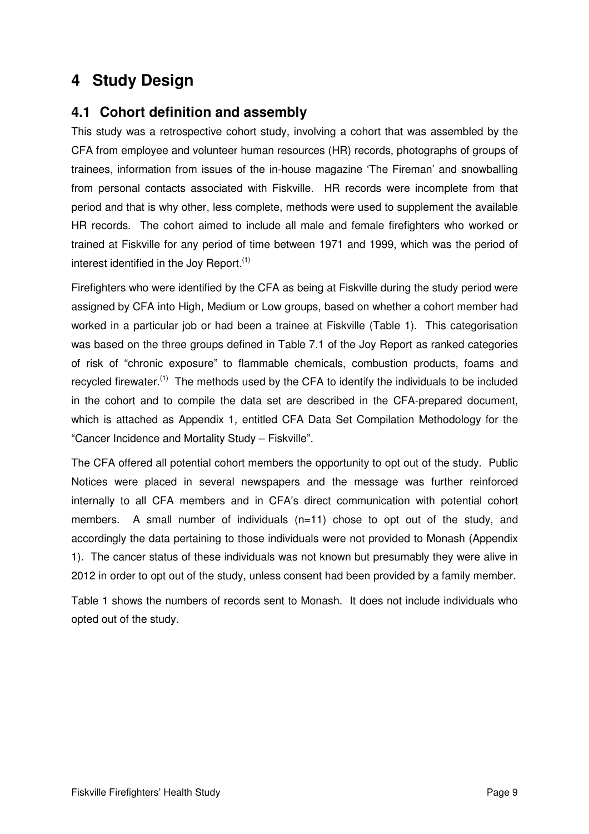# **4 Study Design**

## **4.1 Cohort definition and assembly**

This study was a retrospective cohort study, involving a cohort that was assembled by the CFA from employee and volunteer human resources (HR) records, photographs of groups of trainees, information from issues of the in-house magazine 'The Fireman' and snowballing from personal contacts associated with Fiskville. HR records were incomplete from that period and that is why other, less complete, methods were used to supplement the available HR records. The cohort aimed to include all male and female firefighters who worked or trained at Fiskville for any period of time between 1971 and 1999, which was the period of interest identified in the Joy Report. $(1)$ 

Firefighters who were identified by the CFA as being at Fiskville during the study period were assigned by CFA into High, Medium or Low groups, based on whether a cohort member had worked in a particular job or had been a trainee at Fiskville (Table 1). This categorisation was based on the three groups defined in Table 7.1 of the Joy Report as ranked categories of risk of "chronic exposure" to flammable chemicals, combustion products, foams and recycled firewater.<sup>(1)</sup> The methods used by the CFA to identify the individuals to be included in the cohort and to compile the data set are described in the CFA-prepared document, which is attached as Appendix 1, entitled CFA Data Set Compilation Methodology for the "Cancer Incidence and Mortality Study – Fiskville".

The CFA offered all potential cohort members the opportunity to opt out of the study. Public Notices were placed in several newspapers and the message was further reinforced internally to all CFA members and in CFA's direct communication with potential cohort members. A small number of individuals  $(n=11)$  chose to opt out of the study, and accordingly the data pertaining to those individuals were not provided to Monash (Appendix 1). The cancer status of these individuals was not known but presumably they were alive in 2012 in order to opt out of the study, unless consent had been provided by a family member.

Table 1 shows the numbers of records sent to Monash. It does not include individuals who opted out of the study.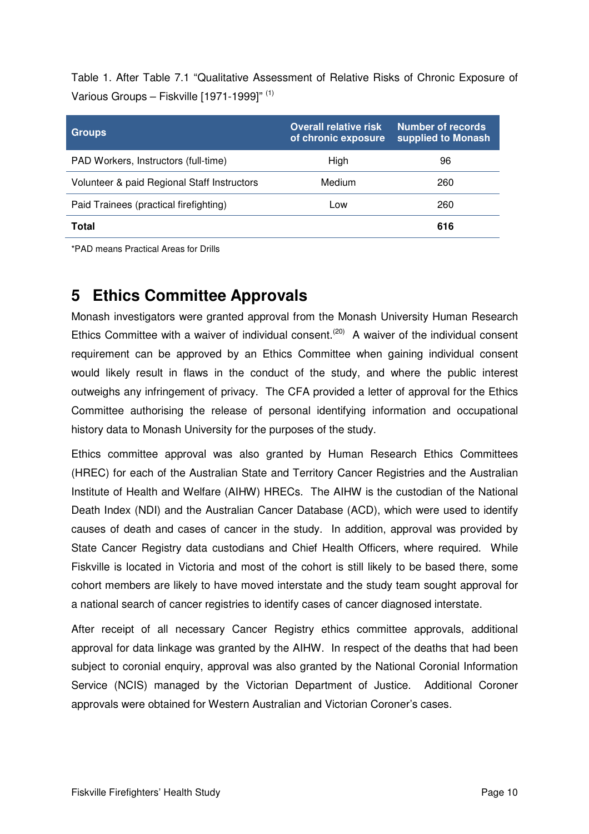Table 1. After Table 7.1 "Qualitative Assessment of Relative Risks of Chronic Exposure of Various Groups – Fiskville [1971-1999]" (1)

| <b>Groups</b>                               | <b>Overall relative risk</b><br>of chronic exposure | Number of records<br>supplied to Monash |
|---------------------------------------------|-----------------------------------------------------|-----------------------------------------|
| PAD Workers, Instructors (full-time)        | High                                                | 96                                      |
| Volunteer & paid Regional Staff Instructors | Medium                                              | 260                                     |
| Paid Trainees (practical firefighting)      | Low                                                 | 260                                     |
| Total                                       |                                                     | 616                                     |

\*PAD means Practical Areas for Drills

# **5 Ethics Committee Approvals**

Monash investigators were granted approval from the Monash University Human Research Ethics Committee with a waiver of individual consent.<sup>(20)</sup> A waiver of the individual consent requirement can be approved by an Ethics Committee when gaining individual consent would likely result in flaws in the conduct of the study, and where the public interest outweighs any infringement of privacy. The CFA provided a letter of approval for the Ethics Committee authorising the release of personal identifying information and occupational history data to Monash University for the purposes of the study.

Ethics committee approval was also granted by Human Research Ethics Committees (HREC) for each of the Australian State and Territory Cancer Registries and the Australian Institute of Health and Welfare (AIHW) HRECs. The AIHW is the custodian of the National Death Index (NDI) and the Australian Cancer Database (ACD), which were used to identify causes of death and cases of cancer in the study. In addition, approval was provided by State Cancer Registry data custodians and Chief Health Officers, where required. While Fiskville is located in Victoria and most of the cohort is still likely to be based there, some cohort members are likely to have moved interstate and the study team sought approval for a national search of cancer registries to identify cases of cancer diagnosed interstate.

After receipt of all necessary Cancer Registry ethics committee approvals, additional approval for data linkage was granted by the AIHW. In respect of the deaths that had been subject to coronial enquiry, approval was also granted by the National Coronial Information Service (NCIS) managed by the Victorian Department of Justice. Additional Coroner approvals were obtained for Western Australian and Victorian Coroner's cases.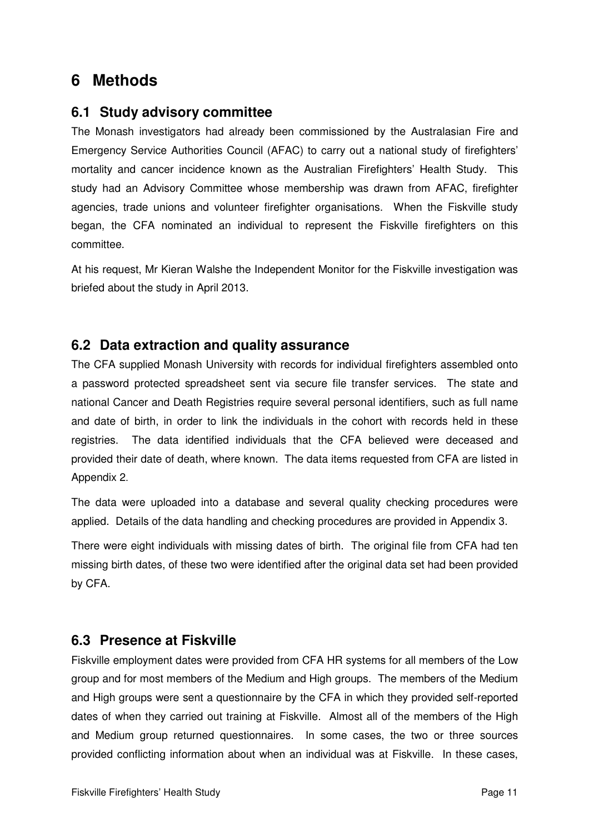# **6 Methods**

#### **6.1 Study advisory committee**

The Monash investigators had already been commissioned by the Australasian Fire and Emergency Service Authorities Council (AFAC) to carry out a national study of firefighters' mortality and cancer incidence known as the Australian Firefighters' Health Study. This study had an Advisory Committee whose membership was drawn from AFAC, firefighter agencies, trade unions and volunteer firefighter organisations. When the Fiskville study began, the CFA nominated an individual to represent the Fiskville firefighters on this committee.

At his request, Mr Kieran Walshe the Independent Monitor for the Fiskville investigation was briefed about the study in April 2013.

#### **6.2 Data extraction and quality assurance**

The CFA supplied Monash University with records for individual firefighters assembled onto a password protected spreadsheet sent via secure file transfer services. The state and national Cancer and Death Registries require several personal identifiers, such as full name and date of birth, in order to link the individuals in the cohort with records held in these registries. The data identified individuals that the CFA believed were deceased and provided their date of death, where known. The data items requested from CFA are listed in Appendix 2.

The data were uploaded into a database and several quality checking procedures were applied. Details of the data handling and checking procedures are provided in Appendix 3.

There were eight individuals with missing dates of birth. The original file from CFA had ten missing birth dates, of these two were identified after the original data set had been provided by CFA.

## **6.3 Presence at Fiskville**

Fiskville employment dates were provided from CFA HR systems for all members of the Low group and for most members of the Medium and High groups. The members of the Medium and High groups were sent a questionnaire by the CFA in which they provided self-reported dates of when they carried out training at Fiskville. Almost all of the members of the High and Medium group returned questionnaires. In some cases, the two or three sources provided conflicting information about when an individual was at Fiskville. In these cases,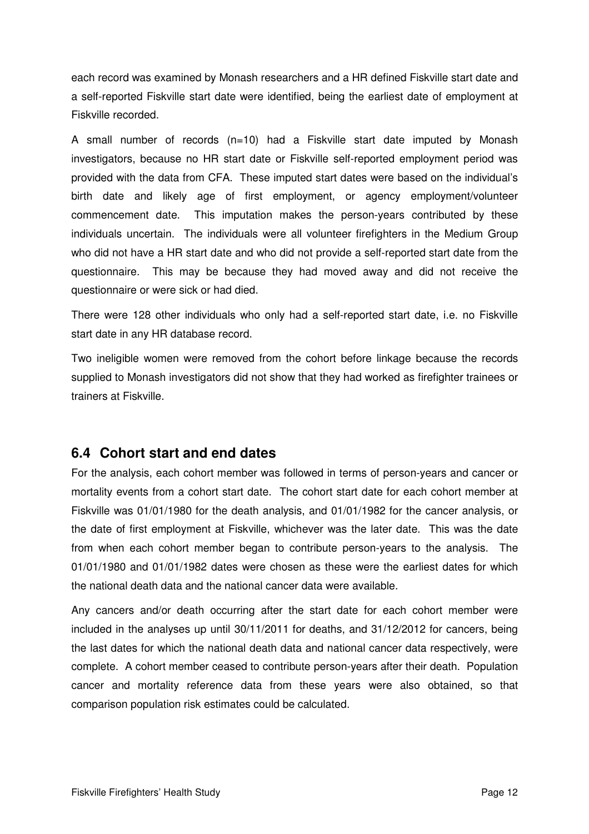each record was examined by Monash researchers and a HR defined Fiskville start date and a self-reported Fiskville start date were identified, being the earliest date of employment at Fiskville recorded.

A small number of records (n=10) had a Fiskville start date imputed by Monash investigators, because no HR start date or Fiskville self-reported employment period was provided with the data from CFA. These imputed start dates were based on the individual's birth date and likely age of first employment, or agency employment/volunteer commencement date. This imputation makes the person-years contributed by these individuals uncertain. The individuals were all volunteer firefighters in the Medium Group who did not have a HR start date and who did not provide a self-reported start date from the questionnaire. This may be because they had moved away and did not receive the questionnaire or were sick or had died.

There were 128 other individuals who only had a self-reported start date, i.e. no Fiskville start date in any HR database record.

Two ineligible women were removed from the cohort before linkage because the records supplied to Monash investigators did not show that they had worked as firefighter trainees or trainers at Fiskville.

## **6.4 Cohort start and end dates**

For the analysis, each cohort member was followed in terms of person-years and cancer or mortality events from a cohort start date. The cohort start date for each cohort member at Fiskville was 01/01/1980 for the death analysis, and 01/01/1982 for the cancer analysis, or the date of first employment at Fiskville, whichever was the later date. This was the date from when each cohort member began to contribute person-years to the analysis. The 01/01/1980 and 01/01/1982 dates were chosen as these were the earliest dates for which the national death data and the national cancer data were available.

Any cancers and/or death occurring after the start date for each cohort member were included in the analyses up until 30/11/2011 for deaths, and 31/12/2012 for cancers, being the last dates for which the national death data and national cancer data respectively, were complete. A cohort member ceased to contribute person-years after their death. Population cancer and mortality reference data from these years were also obtained, so that comparison population risk estimates could be calculated.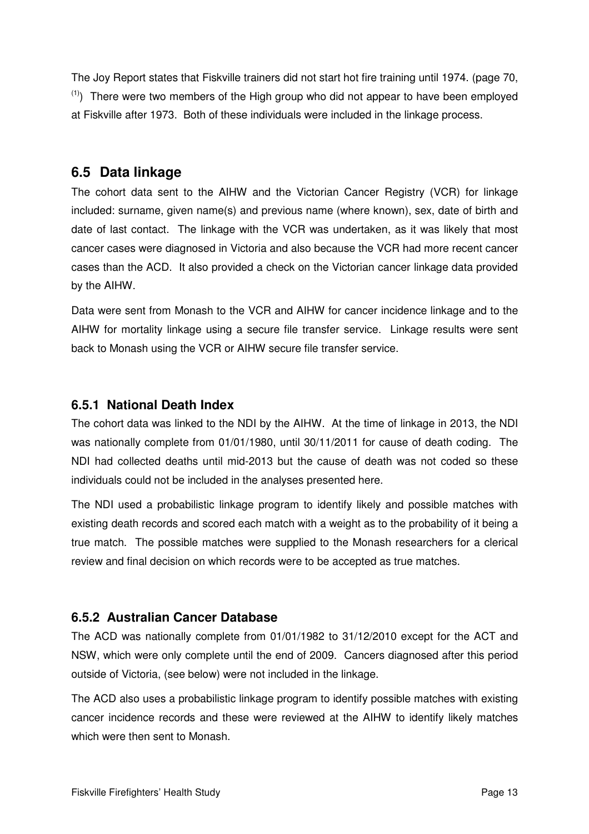The Joy Report states that Fiskville trainers did not start hot fire training until 1974. (page 70,  $(1)$ ) There were two members of the High group who did not appear to have been employed at Fiskville after 1973. Both of these individuals were included in the linkage process.

## **6.5 Data linkage**

The cohort data sent to the AIHW and the Victorian Cancer Registry (VCR) for linkage included: surname, given name(s) and previous name (where known), sex, date of birth and date of last contact. The linkage with the VCR was undertaken, as it was likely that most cancer cases were diagnosed in Victoria and also because the VCR had more recent cancer cases than the ACD. It also provided a check on the Victorian cancer linkage data provided by the AIHW.

Data were sent from Monash to the VCR and AIHW for cancer incidence linkage and to the AIHW for mortality linkage using a secure file transfer service. Linkage results were sent back to Monash using the VCR or AIHW secure file transfer service.

## **6.5.1 National Death Index**

The cohort data was linked to the NDI by the AIHW. At the time of linkage in 2013, the NDI was nationally complete from 01/01/1980, until 30/11/2011 for cause of death coding. The NDI had collected deaths until mid-2013 but the cause of death was not coded so these individuals could not be included in the analyses presented here.

The NDI used a probabilistic linkage program to identify likely and possible matches with existing death records and scored each match with a weight as to the probability of it being a true match. The possible matches were supplied to the Monash researchers for a clerical review and final decision on which records were to be accepted as true matches.

## **6.5.2 Australian Cancer Database**

The ACD was nationally complete from 01/01/1982 to 31/12/2010 except for the ACT and NSW, which were only complete until the end of 2009. Cancers diagnosed after this period outside of Victoria, (see below) were not included in the linkage.

The ACD also uses a probabilistic linkage program to identify possible matches with existing cancer incidence records and these were reviewed at the AIHW to identify likely matches which were then sent to Monash.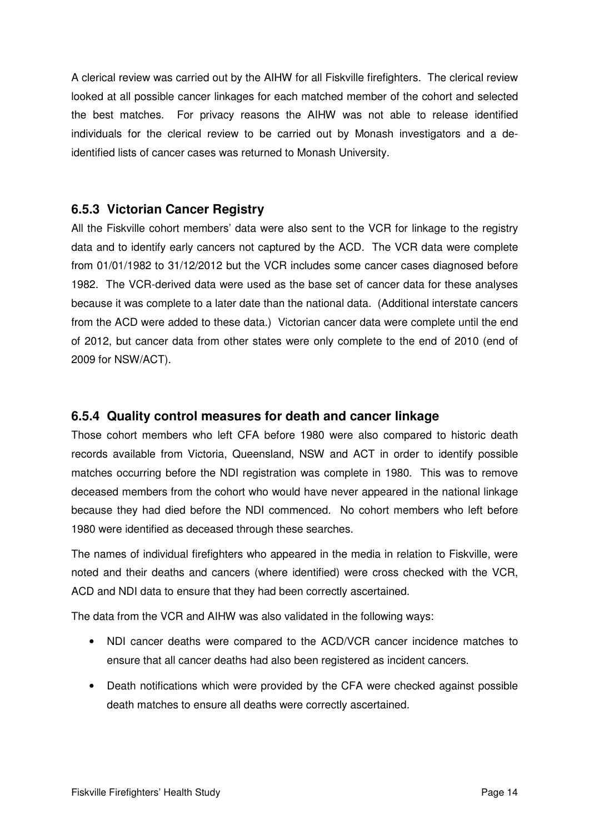A clerical review was carried out by the AIHW for all Fiskville firefighters. The clerical review looked at all possible cancer linkages for each matched member of the cohort and selected the best matches. For privacy reasons the AIHW was not able to release identified individuals for the clerical review to be carried out by Monash investigators and a deidentified lists of cancer cases was returned to Monash University.

#### **6.5.3 Victorian Cancer Registry**

All the Fiskville cohort members' data were also sent to the VCR for linkage to the registry data and to identify early cancers not captured by the ACD. The VCR data were complete from 01/01/1982 to 31/12/2012 but the VCR includes some cancer cases diagnosed before 1982. The VCR-derived data were used as the base set of cancer data for these analyses because it was complete to a later date than the national data. (Additional interstate cancers from the ACD were added to these data.) Victorian cancer data were complete until the end of 2012, but cancer data from other states were only complete to the end of 2010 (end of 2009 for NSW/ACT).

#### **6.5.4 Quality control measures for death and cancer linkage**

Those cohort members who left CFA before 1980 were also compared to historic death records available from Victoria, Queensland, NSW and ACT in order to identify possible matches occurring before the NDI registration was complete in 1980. This was to remove deceased members from the cohort who would have never appeared in the national linkage because they had died before the NDI commenced. No cohort members who left before 1980 were identified as deceased through these searches.

The names of individual firefighters who appeared in the media in relation to Fiskville, were noted and their deaths and cancers (where identified) were cross checked with the VCR, ACD and NDI data to ensure that they had been correctly ascertained.

The data from the VCR and AIHW was also validated in the following ways:

- NDI cancer deaths were compared to the ACD/VCR cancer incidence matches to ensure that all cancer deaths had also been registered as incident cancers.
- Death notifications which were provided by the CFA were checked against possible death matches to ensure all deaths were correctly ascertained.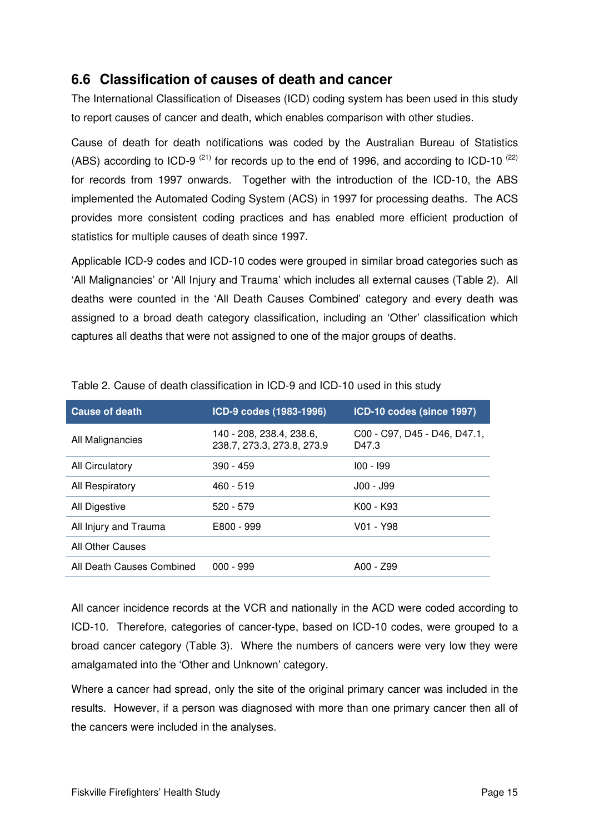## **6.6 Classification of causes of death and cancer**

The International Classification of Diseases (ICD) coding system has been used in this study to report causes of cancer and death, which enables comparison with other studies.

Cause of death for death notifications was coded by the Australian Bureau of Statistics (ABS) according to ICD-9<sup>(21)</sup> for records up to the end of 1996, and according to ICD-10<sup>(22)</sup> for records from 1997 onwards. Together with the introduction of the ICD-10, the ABS implemented the Automated Coding System (ACS) in 1997 for processing deaths. The ACS provides more consistent coding practices and has enabled more efficient production of statistics for multiple causes of death since 1997.

Applicable ICD-9 codes and ICD-10 codes were grouped in similar broad categories such as 'All Malignancies' or 'All Injury and Trauma' which includes all external causes (Table 2). All deaths were counted in the 'All Death Causes Combined' category and every death was assigned to a broad death category classification, including an 'Other' classification which captures all deaths that were not assigned to one of the major groups of deaths.

| <b>Cause of death</b>     | ICD-9 codes (1983-1996)                                | ICD-10 codes (since 1997)             |
|---------------------------|--------------------------------------------------------|---------------------------------------|
| All Malignancies          | 140 - 208, 238.4, 238.6,<br>238.7, 273.3, 273.8, 273.9 | C00 - C97, D45 - D46, D47.1,<br>D47.3 |
| <b>All Circulatory</b>    | $390 - 459$                                            | $100 - 199$                           |
| All Respiratory           | $460 - 519$                                            | J00 - J99                             |
| All Digestive             | $520 - 579$                                            | K00 - K93                             |
| All Injury and Trauma     | E800 - 999                                             | V01 - Y98                             |
| All Other Causes          |                                                        |                                       |
| All Death Causes Combined | $000 - 999$                                            | A00 - Z99                             |

Table 2. Cause of death classification in ICD-9 and ICD-10 used in this study

All cancer incidence records at the VCR and nationally in the ACD were coded according to ICD-10. Therefore, categories of cancer-type, based on ICD-10 codes, were grouped to a broad cancer category (Table 3). Where the numbers of cancers were very low they were amalgamated into the 'Other and Unknown' category.

Where a cancer had spread, only the site of the original primary cancer was included in the results. However, if a person was diagnosed with more than one primary cancer then all of the cancers were included in the analyses.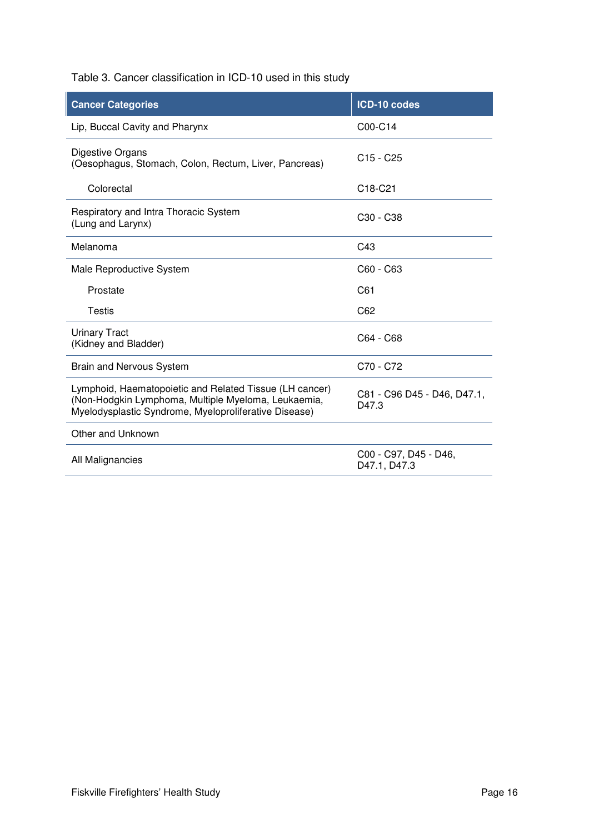Table 3. Cancer classification in ICD-10 used in this study

| <b>Cancer Categories</b>                                                                                                                                                | ICD-10 codes                          |
|-------------------------------------------------------------------------------------------------------------------------------------------------------------------------|---------------------------------------|
| Lip, Buccal Cavity and Pharynx                                                                                                                                          | C00-C14                               |
| Digestive Organs<br>(Oesophagus, Stomach, Colon, Rectum, Liver, Pancreas)                                                                                               | $C15 - C25$                           |
| Colorectal                                                                                                                                                              | C <sub>18</sub> -C <sub>21</sub>      |
| Respiratory and Intra Thoracic System<br>(Lung and Larynx)                                                                                                              | C <sub>30</sub> - C <sub>38</sub>     |
| Melanoma                                                                                                                                                                | C43                                   |
| Male Reproductive System                                                                                                                                                | C60 - C63                             |
| Prostate                                                                                                                                                                | C61                                   |
| Testis                                                                                                                                                                  | C62                                   |
| <b>Urinary Tract</b><br>(Kidney and Bladder)                                                                                                                            | C64 - C68                             |
| <b>Brain and Nervous System</b>                                                                                                                                         | C70 - C72                             |
| Lymphoid, Haematopoietic and Related Tissue (LH cancer)<br>(Non-Hodgkin Lymphoma, Multiple Myeloma, Leukaemia,<br>Myelodysplastic Syndrome, Myeloproliferative Disease) | C81 - C96 D45 - D46, D47.1,<br>D47.3  |
| Other and Unknown                                                                                                                                                       |                                       |
| All Malignancies                                                                                                                                                        | C00 - C97, D45 - D46,<br>D47.1, D47.3 |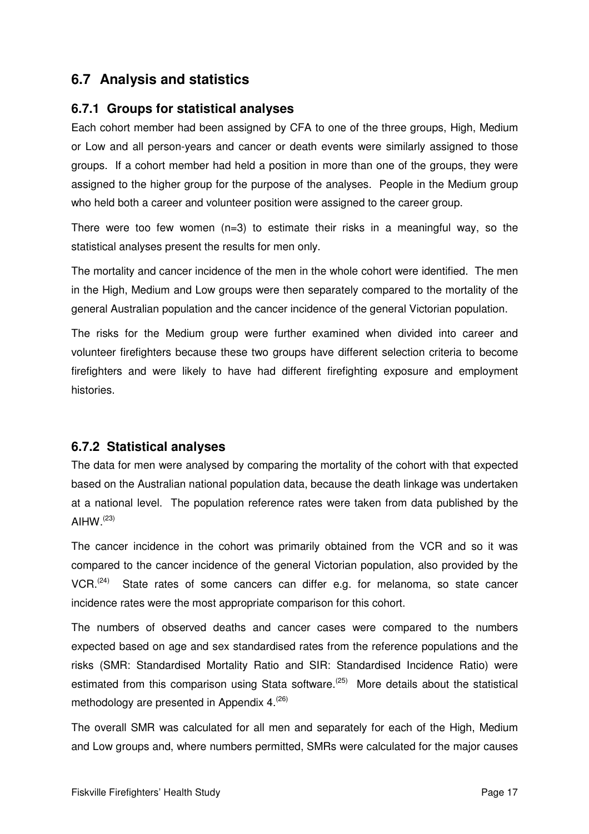## **6.7 Analysis and statistics**

#### **6.7.1 Groups for statistical analyses**

Each cohort member had been assigned by CFA to one of the three groups, High, Medium or Low and all person-years and cancer or death events were similarly assigned to those groups. If a cohort member had held a position in more than one of the groups, they were assigned to the higher group for the purpose of the analyses. People in the Medium group who held both a career and volunteer position were assigned to the career group.

There were too few women  $(n=3)$  to estimate their risks in a meaningful way, so the statistical analyses present the results for men only.

The mortality and cancer incidence of the men in the whole cohort were identified. The men in the High, Medium and Low groups were then separately compared to the mortality of the general Australian population and the cancer incidence of the general Victorian population.

The risks for the Medium group were further examined when divided into career and volunteer firefighters because these two groups have different selection criteria to become firefighters and were likely to have had different firefighting exposure and employment histories.

#### **6.7.2 Statistical analyses**

The data for men were analysed by comparing the mortality of the cohort with that expected based on the Australian national population data, because the death linkage was undertaken at a national level. The population reference rates were taken from data published by the AIHW. $(23)$ 

The cancer incidence in the cohort was primarily obtained from the VCR and so it was compared to the cancer incidence of the general Victorian population, also provided by the  $VCR.$ <sup>(24)</sup> State rates of some cancers can differ e.g. for melanoma, so state cancer incidence rates were the most appropriate comparison for this cohort.

The numbers of observed deaths and cancer cases were compared to the numbers expected based on age and sex standardised rates from the reference populations and the risks (SMR: Standardised Mortality Ratio and SIR: Standardised Incidence Ratio) were estimated from this comparison using Stata software.<sup>(25)</sup> More details about the statistical methodology are presented in Appendix 4.<sup>(26)</sup>

The overall SMR was calculated for all men and separately for each of the High, Medium and Low groups and, where numbers permitted, SMRs were calculated for the major causes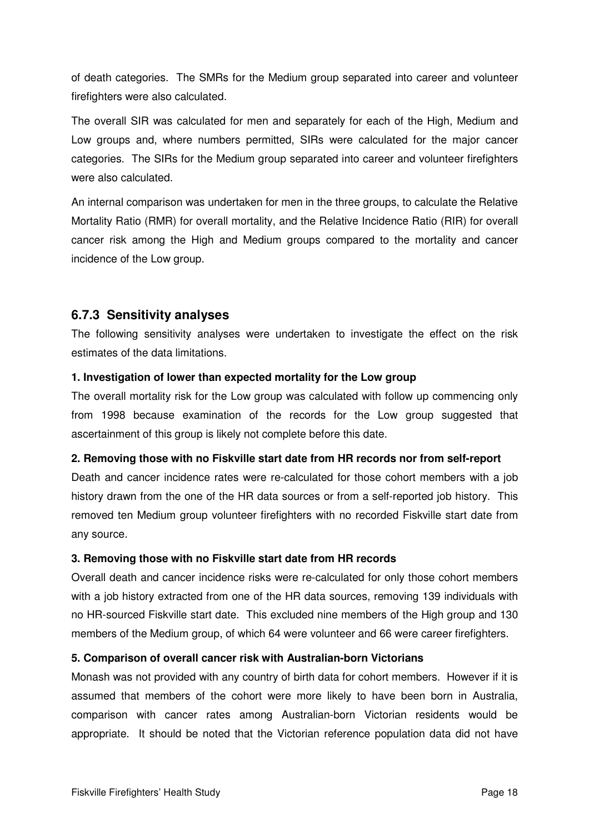of death categories. The SMRs for the Medium group separated into career and volunteer firefighters were also calculated.

The overall SIR was calculated for men and separately for each of the High, Medium and Low groups and, where numbers permitted, SIRs were calculated for the major cancer categories. The SIRs for the Medium group separated into career and volunteer firefighters were also calculated.

An internal comparison was undertaken for men in the three groups, to calculate the Relative Mortality Ratio (RMR) for overall mortality, and the Relative Incidence Ratio (RIR) for overall cancer risk among the High and Medium groups compared to the mortality and cancer incidence of the Low group.

#### **6.7.3 Sensitivity analyses**

The following sensitivity analyses were undertaken to investigate the effect on the risk estimates of the data limitations.

#### **1. Investigation of lower than expected mortality for the Low group**

The overall mortality risk for the Low group was calculated with follow up commencing only from 1998 because examination of the records for the Low group suggested that ascertainment of this group is likely not complete before this date.

#### **2. Removing those with no Fiskville start date from HR records nor from self-report**

Death and cancer incidence rates were re-calculated for those cohort members with a job history drawn from the one of the HR data sources or from a self-reported job history. This removed ten Medium group volunteer firefighters with no recorded Fiskville start date from any source.

#### **3. Removing those with no Fiskville start date from HR records**

Overall death and cancer incidence risks were re-calculated for only those cohort members with a job history extracted from one of the HR data sources, removing 139 individuals with no HR-sourced Fiskville start date. This excluded nine members of the High group and 130 members of the Medium group, of which 64 were volunteer and 66 were career firefighters.

#### **5. Comparison of overall cancer risk with Australian-born Victorians**

Monash was not provided with any country of birth data for cohort members. However if it is assumed that members of the cohort were more likely to have been born in Australia, comparison with cancer rates among Australian-born Victorian residents would be appropriate. It should be noted that the Victorian reference population data did not have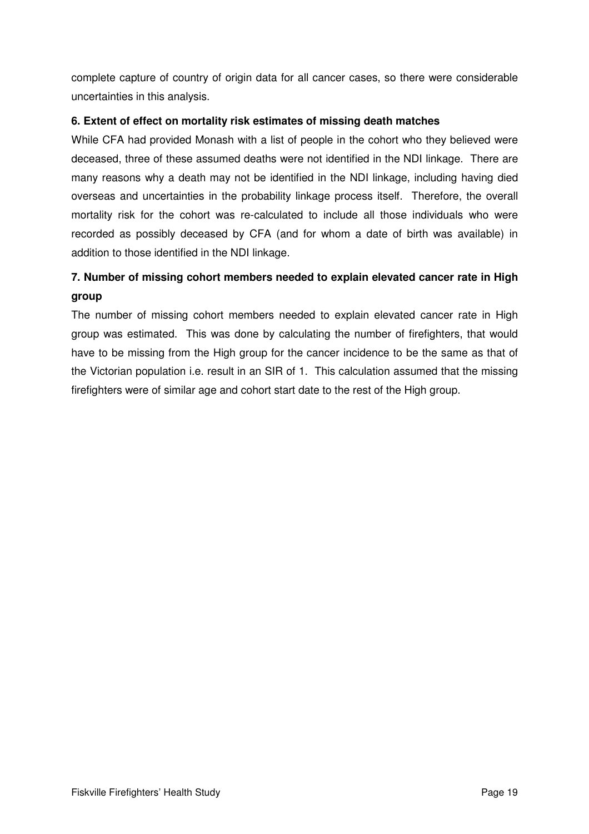complete capture of country of origin data for all cancer cases, so there were considerable uncertainties in this analysis.

#### **6. Extent of effect on mortality risk estimates of missing death matches**

While CFA had provided Monash with a list of people in the cohort who they believed were deceased, three of these assumed deaths were not identified in the NDI linkage. There are many reasons why a death may not be identified in the NDI linkage, including having died overseas and uncertainties in the probability linkage process itself. Therefore, the overall mortality risk for the cohort was re-calculated to include all those individuals who were recorded as possibly deceased by CFA (and for whom a date of birth was available) in addition to those identified in the NDI linkage.

## **7. Number of missing cohort members needed to explain elevated cancer rate in High group**

The number of missing cohort members needed to explain elevated cancer rate in High group was estimated. This was done by calculating the number of firefighters, that would have to be missing from the High group for the cancer incidence to be the same as that of the Victorian population i.e. result in an SIR of 1. This calculation assumed that the missing firefighters were of similar age and cohort start date to the rest of the High group.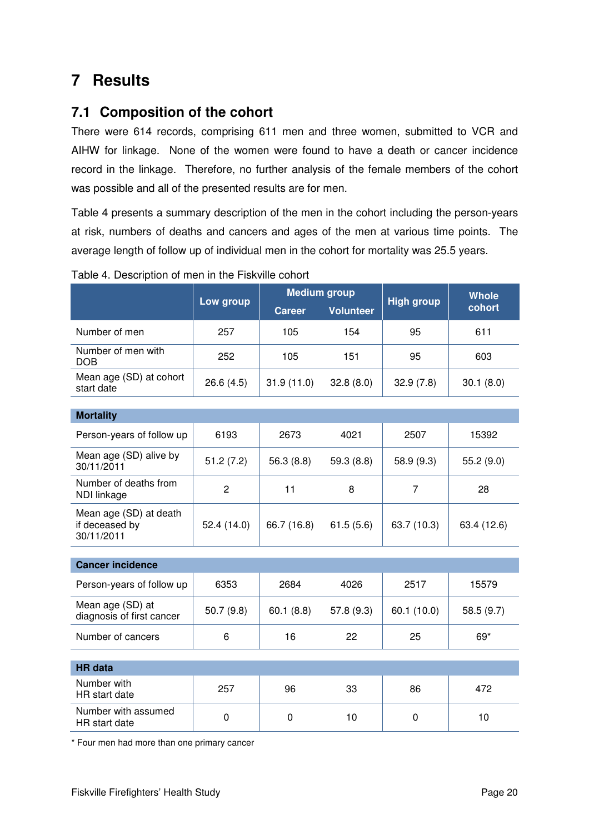# **7 Results**

## **7.1 Composition of the cohort**

There were 614 records, comprising 611 men and three women, submitted to VCR and AIHW for linkage. None of the women were found to have a death or cancer incidence record in the linkage. Therefore, no further analysis of the female members of the cohort was possible and all of the presented results are for men.

Table 4 presents a summary description of the men in the cohort including the person-years at risk, numbers of deaths and cancers and ages of the men at various time points. The average length of follow up of individual men in the cohort for mortality was 25.5 years.

|                                                        |                | <b>Medium group</b> |                  | <b>High group</b> | <b>Whole</b> |  |
|--------------------------------------------------------|----------------|---------------------|------------------|-------------------|--------------|--|
|                                                        | Low group      | <b>Career</b>       | <b>Volunteer</b> |                   | cohort       |  |
| Number of men                                          | 257            | 105                 | 154              | 95                | 611          |  |
| Number of men with<br><b>DOB</b>                       | 252            | 105                 | 151              | 95                | 603          |  |
| Mean age (SD) at cohort<br>start date                  | 26.6(4.5)      | 31.9(11.0)          | 32.8(8.0)        | 32.9(7.8)         | 30.1(8.0)    |  |
|                                                        |                |                     |                  |                   |              |  |
| <b>Mortality</b>                                       |                |                     |                  |                   |              |  |
| Person-years of follow up                              | 6193           | 2673                | 4021             | 2507              | 15392        |  |
| Mean age (SD) alive by<br>30/11/2011                   | 51.2(7.2)      | 56.3(8.8)           | 59.3(8.8)        | 58.9 (9.3)        | 55.2 (9.0)   |  |
| Number of deaths from<br>NDI linkage                   | $\overline{c}$ | 11                  | 8                | $\overline{7}$    | 28           |  |
| Mean age (SD) at death<br>if deceased by<br>30/11/2011 | 52.4 (14.0)    | 66.7 (16.8)         | 61.5(5.6)        | 63.7 (10.3)       | 63.4 (12.6)  |  |
|                                                        |                |                     |                  |                   |              |  |
| <b>Cancer incidence</b>                                |                |                     |                  |                   |              |  |
| Person-years of follow up                              | 6353           | 2684                | 4026             | 2517              | 15579        |  |
| Mean age (SD) at<br>diagnosis of first cancer          | 50.7(9.8)      | 60.1(8.8)           | 57.8 (9.3)       | 60.1 (10.0)       | 58.5 (9.7)   |  |
| Number of cancers                                      | 6              | 16                  | 22               | 25                | 69*          |  |
|                                                        |                |                     |                  |                   |              |  |
| <b>HR</b> data                                         |                |                     |                  |                   |              |  |
| Number with<br>HR start date                           | 257            | 96                  | 33               | 86                | 472          |  |
| Number with assumed<br>HR start date                   | 0              | 0                   | 10               | $\Omega$          | 10           |  |

Table 4. Description of men in the Fiskville cohort

\* Four men had more than one primary cancer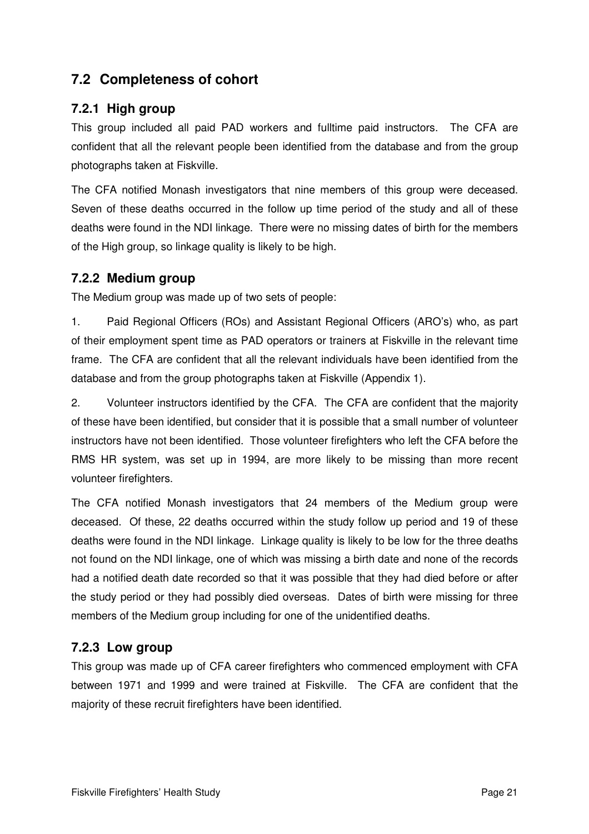## **7.2 Completeness of cohort**

## **7.2.1 High group**

This group included all paid PAD workers and fulltime paid instructors. The CFA are confident that all the relevant people been identified from the database and from the group photographs taken at Fiskville.

The CFA notified Monash investigators that nine members of this group were deceased. Seven of these deaths occurred in the follow up time period of the study and all of these deaths were found in the NDI linkage. There were no missing dates of birth for the members of the High group, so linkage quality is likely to be high.

#### **7.2.2 Medium group**

The Medium group was made up of two sets of people:

1. Paid Regional Officers (ROs) and Assistant Regional Officers (ARO's) who, as part of their employment spent time as PAD operators or trainers at Fiskville in the relevant time frame. The CFA are confident that all the relevant individuals have been identified from the database and from the group photographs taken at Fiskville (Appendix 1).

2. Volunteer instructors identified by the CFA. The CFA are confident that the majority of these have been identified, but consider that it is possible that a small number of volunteer instructors have not been identified. Those volunteer firefighters who left the CFA before the RMS HR system, was set up in 1994, are more likely to be missing than more recent volunteer firefighters.

The CFA notified Monash investigators that 24 members of the Medium group were deceased. Of these, 22 deaths occurred within the study follow up period and 19 of these deaths were found in the NDI linkage. Linkage quality is likely to be low for the three deaths not found on the NDI linkage, one of which was missing a birth date and none of the records had a notified death date recorded so that it was possible that they had died before or after the study period or they had possibly died overseas. Dates of birth were missing for three members of the Medium group including for one of the unidentified deaths.

## **7.2.3 Low group**

This group was made up of CFA career firefighters who commenced employment with CFA between 1971 and 1999 and were trained at Fiskville. The CFA are confident that the majority of these recruit firefighters have been identified.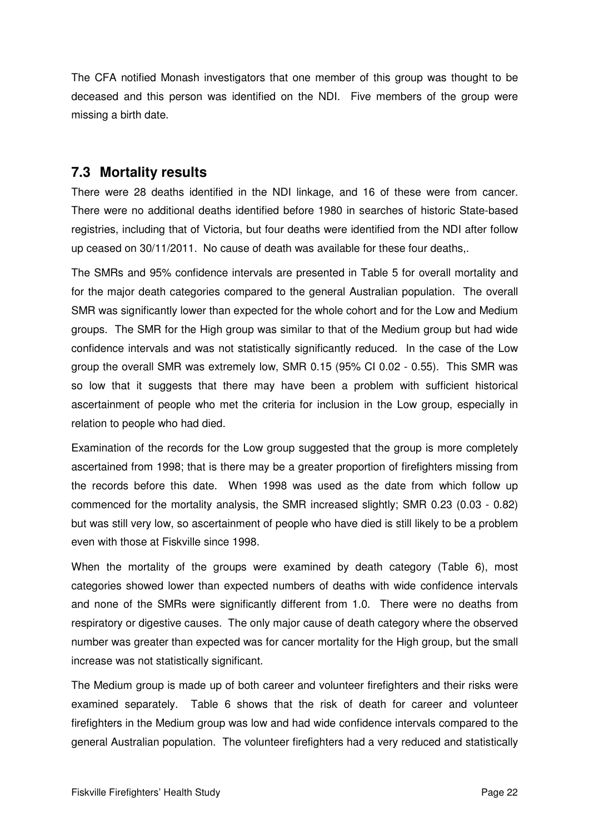The CFA notified Monash investigators that one member of this group was thought to be deceased and this person was identified on the NDI. Five members of the group were missing a birth date.

## **7.3 Mortality results**

There were 28 deaths identified in the NDI linkage, and 16 of these were from cancer. There were no additional deaths identified before 1980 in searches of historic State-based registries, including that of Victoria, but four deaths were identified from the NDI after follow up ceased on 30/11/2011. No cause of death was available for these four deaths,.

The SMRs and 95% confidence intervals are presented in Table 5 for overall mortality and for the major death categories compared to the general Australian population. The overall SMR was significantly lower than expected for the whole cohort and for the Low and Medium groups. The SMR for the High group was similar to that of the Medium group but had wide confidence intervals and was not statistically significantly reduced. In the case of the Low group the overall SMR was extremely low, SMR 0.15 (95% CI 0.02 - 0.55). This SMR was so low that it suggests that there may have been a problem with sufficient historical ascertainment of people who met the criteria for inclusion in the Low group, especially in relation to people who had died.

Examination of the records for the Low group suggested that the group is more completely ascertained from 1998; that is there may be a greater proportion of firefighters missing from the records before this date. When 1998 was used as the date from which follow up commenced for the mortality analysis, the SMR increased slightly; SMR 0.23 (0.03 - 0.82) but was still very low, so ascertainment of people who have died is still likely to be a problem even with those at Fiskville since 1998.

When the mortality of the groups were examined by death category (Table 6), most categories showed lower than expected numbers of deaths with wide confidence intervals and none of the SMRs were significantly different from 1.0. There were no deaths from respiratory or digestive causes. The only major cause of death category where the observed number was greater than expected was for cancer mortality for the High group, but the small increase was not statistically significant.

The Medium group is made up of both career and volunteer firefighters and their risks were examined separately. Table 6 shows that the risk of death for career and volunteer firefighters in the Medium group was low and had wide confidence intervals compared to the general Australian population. The volunteer firefighters had a very reduced and statistically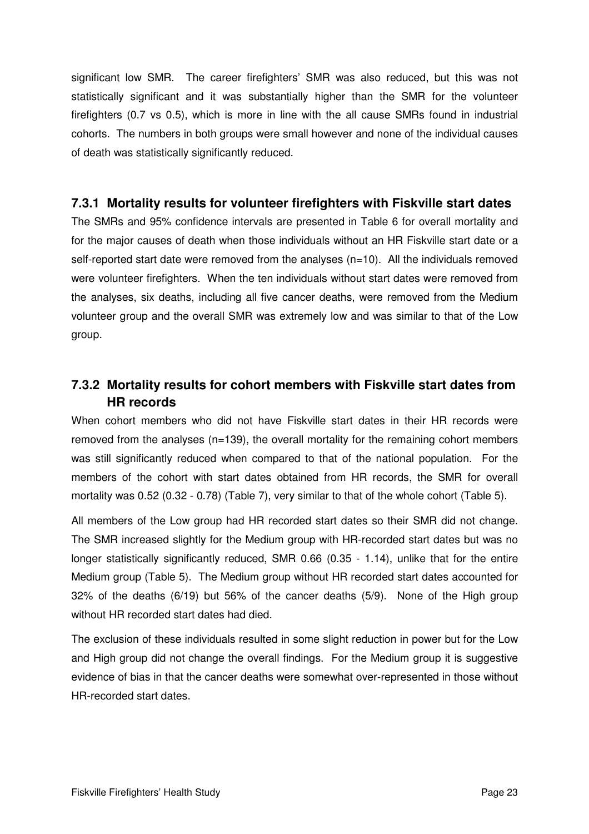significant low SMR. The career firefighters' SMR was also reduced, but this was not statistically significant and it was substantially higher than the SMR for the volunteer firefighters (0.7 vs 0.5), which is more in line with the all cause SMRs found in industrial cohorts. The numbers in both groups were small however and none of the individual causes of death was statistically significantly reduced.

#### **7.3.1 Mortality results for volunteer firefighters with Fiskville start dates**

The SMRs and 95% confidence intervals are presented in Table 6 for overall mortality and for the major causes of death when those individuals without an HR Fiskville start date or a self-reported start date were removed from the analyses  $(n=10)$ . All the individuals removed were volunteer firefighters. When the ten individuals without start dates were removed from the analyses, six deaths, including all five cancer deaths, were removed from the Medium volunteer group and the overall SMR was extremely low and was similar to that of the Low group.

## **7.3.2 Mortality results for cohort members with Fiskville start dates from HR records**

When cohort members who did not have Fiskville start dates in their HR records were removed from the analyses (n=139), the overall mortality for the remaining cohort members was still significantly reduced when compared to that of the national population. For the members of the cohort with start dates obtained from HR records, the SMR for overall mortality was 0.52 (0.32 - 0.78) (Table 7), very similar to that of the whole cohort (Table 5).

All members of the Low group had HR recorded start dates so their SMR did not change. The SMR increased slightly for the Medium group with HR-recorded start dates but was no longer statistically significantly reduced, SMR 0.66 (0.35 - 1.14), unlike that for the entire Medium group (Table 5). The Medium group without HR recorded start dates accounted for 32% of the deaths (6/19) but 56% of the cancer deaths (5/9). None of the High group without HR recorded start dates had died.

The exclusion of these individuals resulted in some slight reduction in power but for the Low and High group did not change the overall findings. For the Medium group it is suggestive evidence of bias in that the cancer deaths were somewhat over-represented in those without HR-recorded start dates.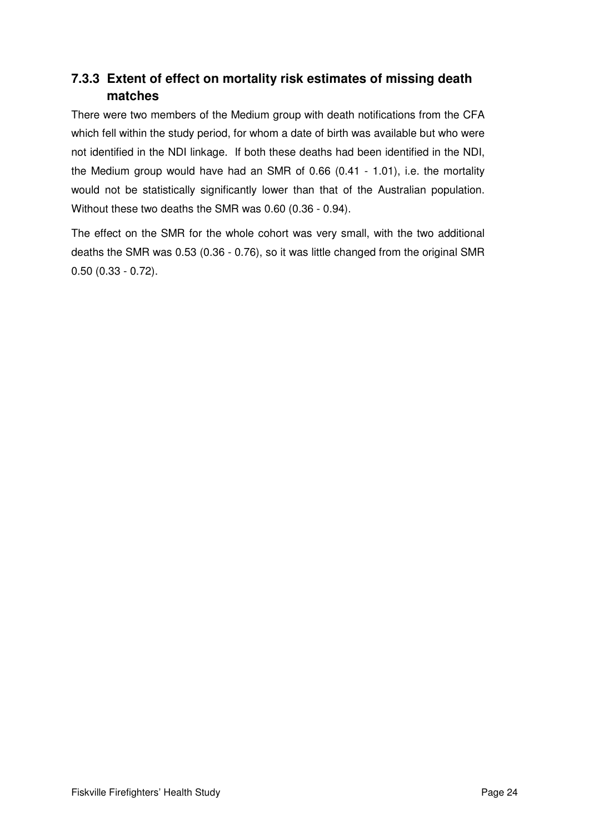## **7.3.3 Extent of effect on mortality risk estimates of missing death matches**

There were two members of the Medium group with death notifications from the CFA which fell within the study period, for whom a date of birth was available but who were not identified in the NDI linkage. If both these deaths had been identified in the NDI, the Medium group would have had an SMR of 0.66 (0.41 - 1.01), i.e. the mortality would not be statistically significantly lower than that of the Australian population. Without these two deaths the SMR was 0.60 (0.36 - 0.94).

The effect on the SMR for the whole cohort was very small, with the two additional deaths the SMR was 0.53 (0.36 - 0.76), so it was little changed from the original SMR 0.50 (0.33 - 0.72).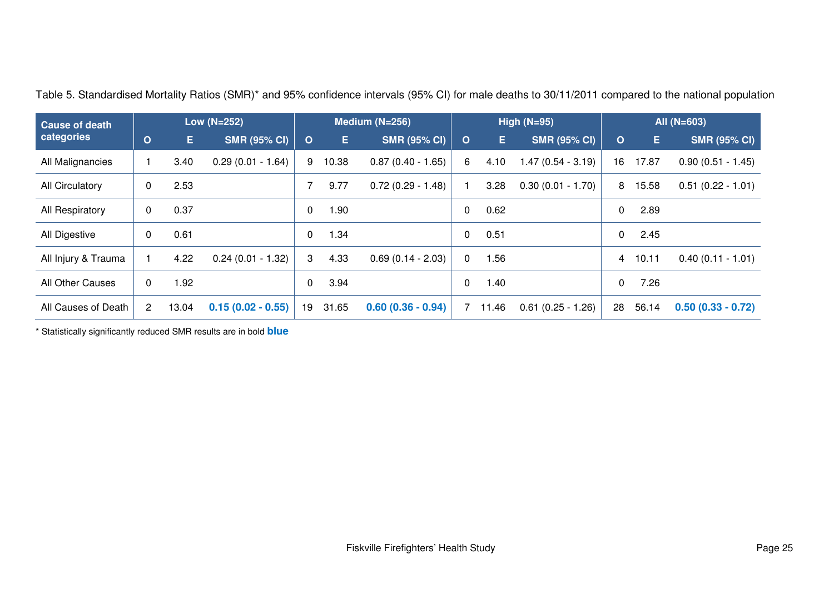| <b>Cause of death</b>  |                |       | Low (N=252)         | Medium (N=256) |       |                     |          |       | High $(N=95)$       | All (N=603) |       |                     |
|------------------------|----------------|-------|---------------------|----------------|-------|---------------------|----------|-------|---------------------|-------------|-------|---------------------|
| categories             | $\circ$        | E.    | <b>SMR (95% CI)</b> | $\mathbf O$    | Е.    | <b>SMR (95% CI)</b> | $\circ$  | E.    | <b>SMR (95% CI)</b> | O           | E.    | <b>SMR (95% CI)</b> |
| All Malignancies       |                | 3.40  | $0.29(0.01 - 1.64)$ | 9              | 10.38 | $0.87(0.40 - 1.65)$ | 6        | 4.10  | $1.47(0.54 - 3.19)$ | 16          | 17.87 | $0.90(0.51 - 1.45)$ |
| <b>All Circulatory</b> | 0              | 2.53  |                     |                | 9.77  | $0.72(0.29 - 1.48)$ |          | 3.28  | $0.30(0.01 - 1.70)$ | 8           | 15.58 | $0.51(0.22 - 1.01)$ |
| All Respiratory        | $\overline{0}$ | 0.37  |                     | $\Omega$       | 1.90  |                     | 0        | 0.62  |                     | 0           | 2.89  |                     |
| All Digestive          | $\overline{0}$ | 0.61  |                     | $\mathbf{0}$   | 1.34  |                     | 0        | 0.51  |                     | $\Omega$    | 2.45  |                     |
| All Injury & Trauma    |                | 4.22  | $0.24(0.01 - 1.32)$ | 3              | 4.33  | $0.69(0.14 - 2.03)$ | $\Omega$ | .56   |                     | 4           | 10.11 | $0.40(0.11 - 1.01)$ |
| All Other Causes       | $\Omega$       | 1.92  |                     | $\mathbf{0}$   | 3.94  |                     | 0        | .40   |                     | 0           | 7.26  |                     |
| All Causes of Death    | $\overline{2}$ | 13.04 | $0.15(0.02 - 0.55)$ | 19             | 31.65 | $0.60(0.36 - 0.94)$ | 7        | 11.46 | $0.61(0.25 - 1.26)$ | 28          | 56.14 | $0.50(0.33 - 0.72)$ |

Table 5. Standardised Mortality Ratios (SMR)\* and 95% confidence intervals (95% CI) for male deaths to 30/11/2011 compared to the national population

\* Statistically significantly reduced SMR results are in bold **blue**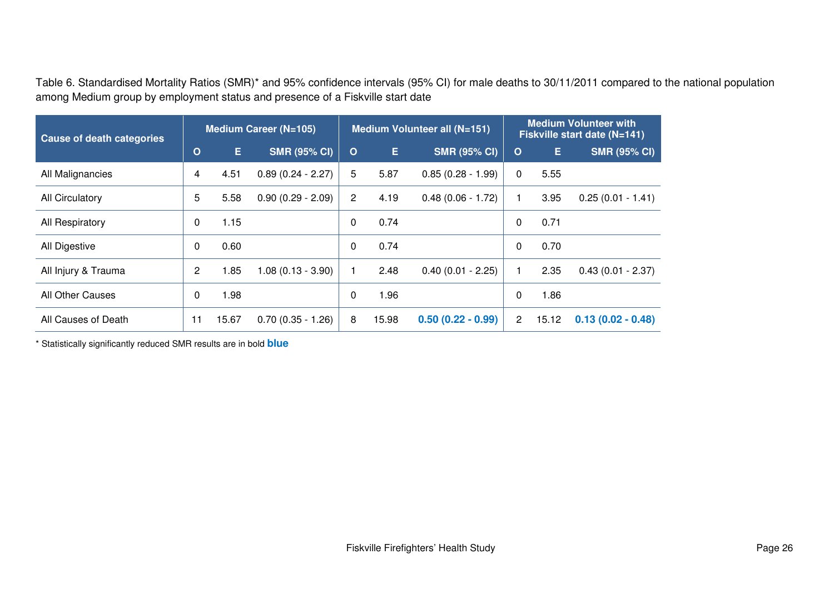Table 6. Standardised Mortality Ratios (SMR)\* and 95% confidence intervals (95% CI) for male deaths to 30/11/2011 compared to the national population among Medium group by employment status and presence of a Fiskville start date

| <b>Cause of death categories</b> |              |       | <b>Medium Career (N=105)</b> |              |       | Medium Volunteer all (N=151) | <b>Medium Volunteer with</b><br>Fiskville start date (N=141) |       |                     |  |
|----------------------------------|--------------|-------|------------------------------|--------------|-------|------------------------------|--------------------------------------------------------------|-------|---------------------|--|
|                                  | $\mathbf{o}$ | E.    | <b>SMR (95% CI)</b>          | $\mathbf{o}$ | E.    | <b>SMR (95% CI)</b>          | $\mathbf O$                                                  | Е.    | <b>SMR (95% CI)</b> |  |
| All Malignancies                 | 4            | 4.51  | $0.89(0.24 - 2.27)$          | 5            | 5.87  | $0.85(0.28 - 1.99)$          | 0                                                            | 5.55  |                     |  |
| All Circulatory                  |              | 5.58  | $0.90(0.29 - 2.09)$          | 2            | 4.19  | $0.48(0.06 - 1.72)$          |                                                              | 3.95  | $0.25(0.01 - 1.41)$ |  |
| All Respiratory                  |              | 1.15  |                              | 0            | 0.74  |                              | 0                                                            | 0.71  |                     |  |
| All Digestive                    | 0            | 0.60  |                              | $\mathbf{0}$ | 0.74  |                              | 0                                                            | 0.70  |                     |  |
| All Injury & Trauma              | 2            | 1.85  | $1.08(0.13 - 3.90)$          |              | 2.48  | $0.40(0.01 - 2.25)$          |                                                              | 2.35  | $0.43(0.01 - 2.37)$ |  |
| All Other Causes                 | 0            | 1.98  |                              | 0            | 1.96  |                              | 0                                                            | 1.86  |                     |  |
| All Causes of Death              |              | 15.67 | $0.70(0.35 - 1.26)$          | 8            | 15.98 | $0.50(0.22 - 0.99)$          | 2                                                            | 15.12 | $0.13(0.02 - 0.48)$ |  |

\* Statistically significantly reduced SMR results are in bold **blue**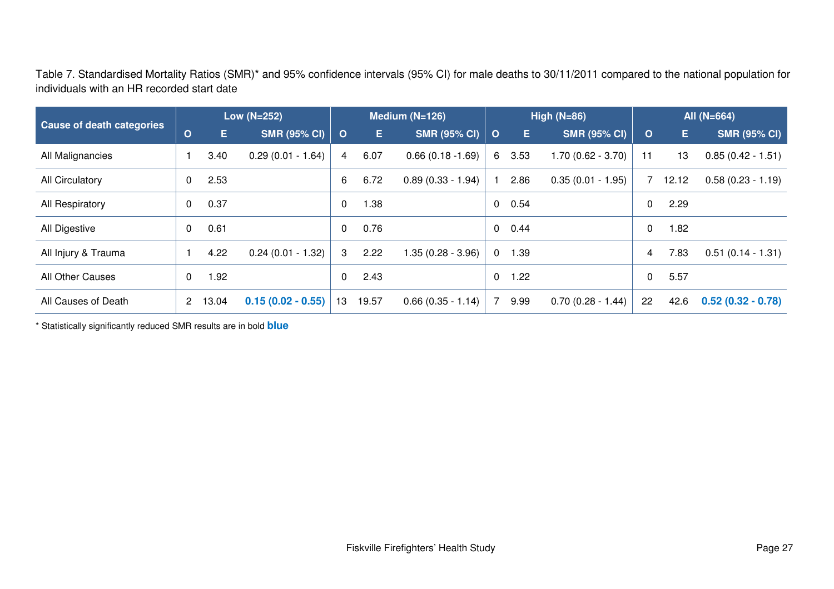Table 7. Standardised Mortality Ratios (SMR)\* and 95% confidence intervals (95% CI) for male deaths to 30/11/2011 compared to the national population forindividuals with an HR recorded start date

| <b>Cause of death categories</b> |   | Low (N=252) |                     |          |       | Medium $(N=126)$    | High $(N=86)$ |      |                     |              | All (N=664) |                     |  |
|----------------------------------|---|-------------|---------------------|----------|-------|---------------------|---------------|------|---------------------|--------------|-------------|---------------------|--|
|                                  |   | Е.          | <b>SMR (95% CI)</b> | $\circ$  | Е.    | <b>SMR (95% CI)</b> | $\circ$       | E.   | <b>SMR (95% CI)</b> | $\mathbf{O}$ | Е           | <b>SMR (95% CI)</b> |  |
| All Malignancies                 |   | 3.40        | $0.29(0.01 - 1.64)$ | 4        | 6.07  | $0.66(0.18 - 1.69)$ | 6.            | 3.53 | 1.70 (0.62 - 3.70)  | 11           | 13          | $0.85(0.42 - 1.51)$ |  |
| All Circulatory                  | 0 | 2.53        |                     | 6        | 6.72  | $0.89(0.33 - 1.94)$ |               | 2.86 | $0.35(0.01 - 1.95)$ |              | 12.12       | $0.58(0.23 - 1.19)$ |  |
| All Respiratory                  |   | 0.37        |                     | 0        | 1.38  |                     | 0             | 0.54 |                     | 0            | 2.29        |                     |  |
| All Digestive                    | 0 | 0.61        |                     | $\Omega$ | 0.76  |                     | 0             | 0.44 |                     | 0            | 1.82        |                     |  |
| All Injury & Trauma              |   | 4.22        | $0.24(0.01 - 1.32)$ | 3        | 2.22  | 1.35 (0.28 - 3.96)  | $\mathbf 0$   | 1.39 |                     | 4            | 7.83        | $0.51(0.14 - 1.31)$ |  |
| All Other Causes                 |   | 1.92        |                     | $\Omega$ | 2.43  |                     | 0             | 1.22 |                     | 0            | 5.57        |                     |  |
| All Causes of Death              |   | 13.04       | $0.15(0.02 - 0.55)$ | 13       | 19.57 | $0.66(0.35 - 1.14)$ | 7             | 9.99 | $0.70(0.28 - 1.44)$ | 22           | 42.6        | $0.52(0.32 - 0.78)$ |  |

\* Statistically significantly reduced SMR results are in bold **blue**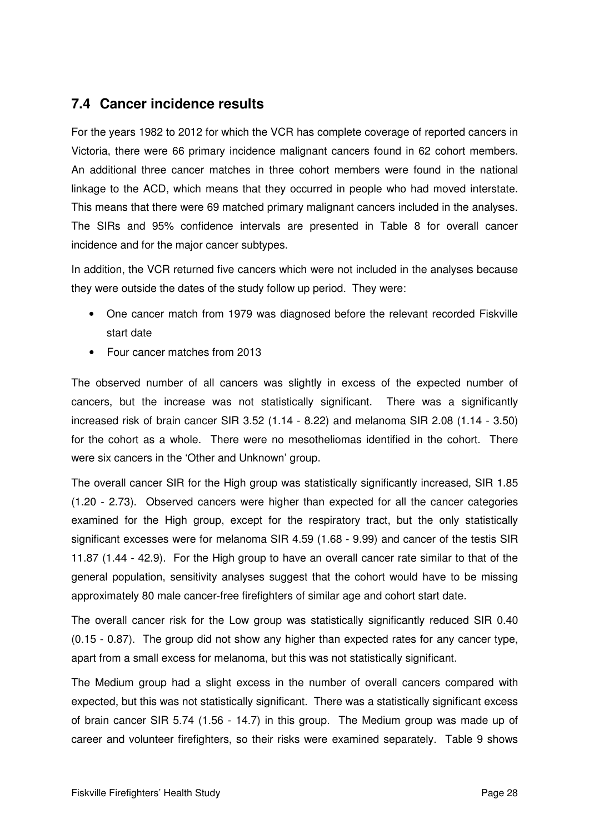## **7.4 Cancer incidence results**

For the years 1982 to 2012 for which the VCR has complete coverage of reported cancers in Victoria, there were 66 primary incidence malignant cancers found in 62 cohort members. An additional three cancer matches in three cohort members were found in the national linkage to the ACD, which means that they occurred in people who had moved interstate. This means that there were 69 matched primary malignant cancers included in the analyses. The SIRs and 95% confidence intervals are presented in Table 8 for overall cancer incidence and for the major cancer subtypes.

In addition, the VCR returned five cancers which were not included in the analyses because they were outside the dates of the study follow up period. They were:

- One cancer match from 1979 was diagnosed before the relevant recorded Fiskville start date
- Four cancer matches from 2013

The observed number of all cancers was slightly in excess of the expected number of cancers, but the increase was not statistically significant. There was a significantly increased risk of brain cancer SIR 3.52 (1.14 - 8.22) and melanoma SIR 2.08 (1.14 - 3.50) for the cohort as a whole. There were no mesotheliomas identified in the cohort. There were six cancers in the 'Other and Unknown' group.

The overall cancer SIR for the High group was statistically significantly increased, SIR 1.85 (1.20 - 2.73). Observed cancers were higher than expected for all the cancer categories examined for the High group, except for the respiratory tract, but the only statistically significant excesses were for melanoma SIR 4.59 (1.68 - 9.99) and cancer of the testis SIR 11.87 (1.44 - 42.9). For the High group to have an overall cancer rate similar to that of the general population, sensitivity analyses suggest that the cohort would have to be missing approximately 80 male cancer-free firefighters of similar age and cohort start date.

The overall cancer risk for the Low group was statistically significantly reduced SIR 0.40 (0.15 - 0.87). The group did not show any higher than expected rates for any cancer type, apart from a small excess for melanoma, but this was not statistically significant.

The Medium group had a slight excess in the number of overall cancers compared with expected, but this was not statistically significant. There was a statistically significant excess of brain cancer SIR 5.74 (1.56 - 14.7) in this group. The Medium group was made up of career and volunteer firefighters, so their risks were examined separately. Table 9 shows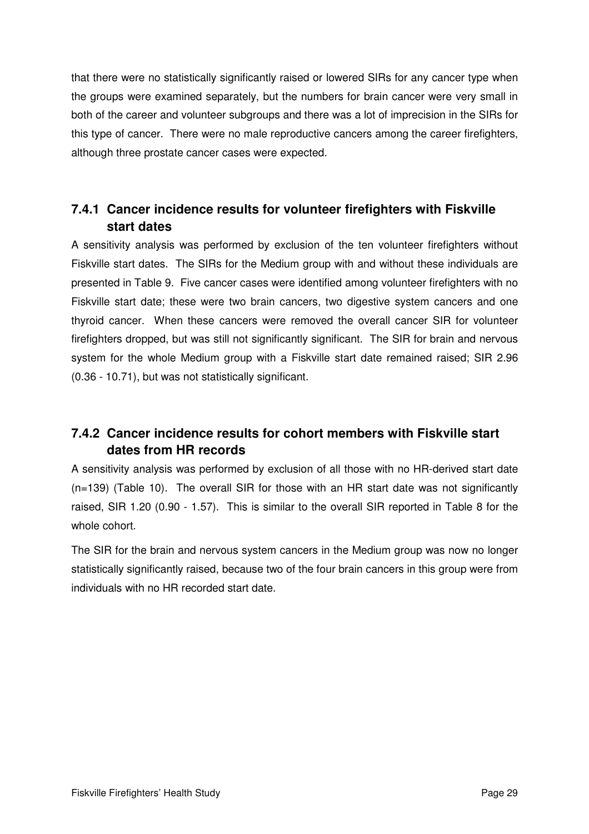that there were no statistically significantly raised or lowered SIRs for any cancer type when the groups were examined separately, but the numbers for brain cancer were very small in both of the career and volunteer subgroups and there was a lot of imprecision in the SIRs for this type of cancer. There were no male reproductive cancers among the career firefighters, although three prostate cancer cases were expected.

## **7.4.1 Cancer incidence results for volunteer firefighters with Fiskville start dates**

A sensitivity analysis was performed by exclusion of the ten volunteer firefighters without Fiskville start dates. The SIRs for the Medium group with and without these individuals are presented in Table 9. Five cancer cases were identified among volunteer firefighters with no Fiskville start date; these were two brain cancers, two digestive system cancers and one thyroid cancer. When these cancers were removed the overall cancer SIR for volunteer firefighters dropped, but was still not significantly significant. The SIR for brain and nervous system for the whole Medium group with a Fiskville start date remained raised; SIR 2.96 (0.36 - 10.71), but was not statistically significant.

## **7.4.2 Cancer incidence results for cohort members with Fiskville start dates from HR records**

A sensitivity analysis was performed by exclusion of all those with no HR-derived start date (n=139) (Table 10). The overall SIR for those with an HR start date was not significantly raised, SIR 1.20 (0.90 - 1.57). This is similar to the overall SIR reported in Table 8 for the whole cohort.

The SIR for the brain and nervous system cancers in the Medium group was now no longer statistically significantly raised, because two of the four brain cancers in this group were from individuals with no HR recorded start date.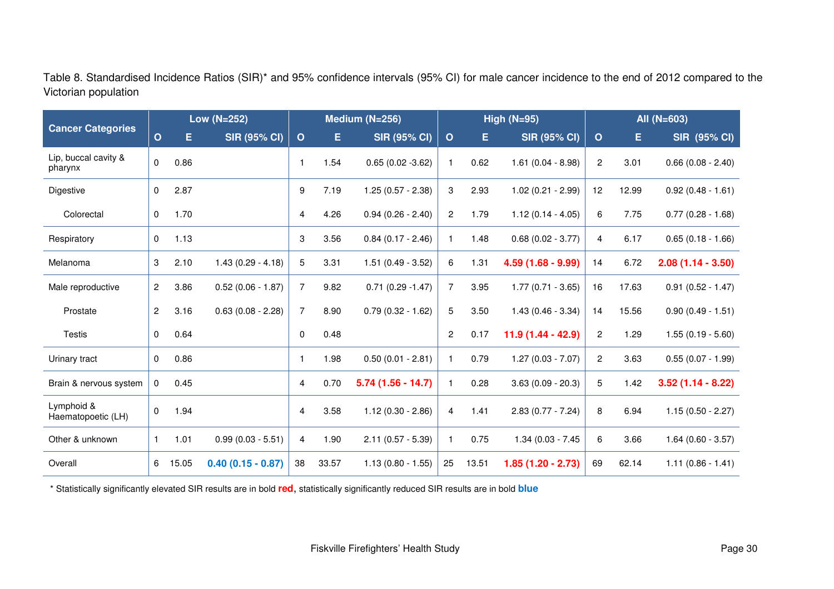Table 8. Standardised Incidence Ratios (SIR)\* and 95% confidence intervals (95% CI) for male cancer incidence to the end of 2012 compared to the Victorian population

| <b>Cancer Categories</b>         |                         |       | <b>Low (N=252)</b>     | Medium (N=256) |       |                     | High $(N=95)$  |       |                      |                | All (N=603) |                     |  |
|----------------------------------|-------------------------|-------|------------------------|----------------|-------|---------------------|----------------|-------|----------------------|----------------|-------------|---------------------|--|
|                                  | $\mathbf{o}$            | E.    | <b>SIR (95% CI)</b>    | $\mathbf 0$    | Е     | <b>SIR (95% CI)</b> | $\mathbf 0$    | Е     | <b>SIR (95% CI)</b>  | $\circ$        | Е.          | <b>SIR (95% CI)</b> |  |
| Lip, buccal cavity &<br>pharynx  | $\mathbf 0$             | 0.86  |                        | 1              | 1.54  | $0.65(0.02 - 3.62)$ |                | 0.62  | $1.61(0.04 - 8.98)$  | $\overline{2}$ | 3.01        | $0.66(0.08 - 2.40)$ |  |
| Digestive                        | 0                       | 2.87  |                        | 9              | 7.19  | $1.25(0.57 - 2.38)$ | 3              | 2.93  | $1.02(0.21 - 2.99)$  | 12             | 12.99       | $0.92(0.48 - 1.61)$ |  |
| Colorectal                       | 0                       | 1.70  |                        | 4              | 4.26  | $0.94(0.26 - 2.40)$ | $\mathbf{2}$   | 1.79  | $1.12(0.14 - 4.05)$  | 6              | 7.75        | $0.77(0.28 - 1.68)$ |  |
| Respiratory                      | 0                       | 1.13  |                        | 3              | 3.56  | $0.84(0.17 - 2.46)$ |                | 1.48  | $0.68$ (0.02 - 3.77) | 4              | 6.17        | $0.65(0.18 - 1.66)$ |  |
| Melanoma                         | 3                       | 2.10  | $1.43(0.29 - 4.18)$    | 5              | 3.31  | $1.51(0.49 - 3.52)$ | 6              | 1.31  | $4.59(1.68 - 9.99)$  | 14             | 6.72        | $2.08(1.14 - 3.50)$ |  |
| Male reproductive                | $\overline{\mathbf{c}}$ | 3.86  | $0.52(0.06 - 1.87)$    | $\overline{7}$ | 9.82  | $0.71(0.29 - 1.47)$ | $\overline{7}$ | 3.95  | $1.77(0.71 - 3.65)$  | 16             | 17.63       | $0.91(0.52 - 1.47)$ |  |
| Prostate                         | $\overline{c}$          | 3.16  | $0.63$ $(0.08 - 2.28)$ | 7              | 8.90  | $0.79(0.32 - 1.62)$ | 5              | 3.50  | $1.43(0.46 - 3.34)$  | 14             | 15.56       | $0.90(0.49 - 1.51)$ |  |
| Testis                           | 0                       | 0.64  |                        | 0              | 0.48  |                     | $\overline{2}$ | 0.17  | $11.9(1.44 - 42.9)$  | $\overline{2}$ | 1.29        | $1.55(0.19 - 5.60)$ |  |
| Urinary tract                    | 0                       | 0.86  |                        | 1              | 1.98  | $0.50(0.01 - 2.81)$ |                | 0.79  | $1.27(0.03 - 7.07)$  | $\mathbf{2}$   | 3.63        | $0.55(0.07 - 1.99)$ |  |
| Brain & nervous system           | 0                       | 0.45  |                        | 4              | 0.70  | $5.74(1.56 - 14.7)$ |                | 0.28  | $3.63(0.09 - 20.3)$  | 5              | 1.42        | $3.52(1.14 - 8.22)$ |  |
| Lymphoid &<br>Haematopoetic (LH) | 0                       | 1.94  |                        | 4              | 3.58  | $1.12(0.30 - 2.86)$ | 4              | 1.41  | $2.83(0.77 - 7.24)$  | 8              | 6.94        | $1.15(0.50 - 2.27)$ |  |
| Other & unknown                  | $\mathbf{1}$            | 1.01  | $0.99(0.03 - 5.51)$    | 4              | 1.90  | $2.11(0.57 - 5.39)$ |                | 0.75  | 1.34 (0.03 - 7.45    | 6              | 3.66        | $1.64(0.60 - 3.57)$ |  |
| Overall                          | 6                       | 15.05 | $0.40(0.15 - 0.87)$    | 38             | 33.57 | $1.13(0.80 - 1.55)$ | 25             | 13.51 | $1.85(1.20 - 2.73)$  | 69             | 62.14       | $1.11(0.86 - 1.41)$ |  |

\* Statistically significantly elevated SIR results are in bold **red**, statistically significantly reduced SIR results are in bold **blue**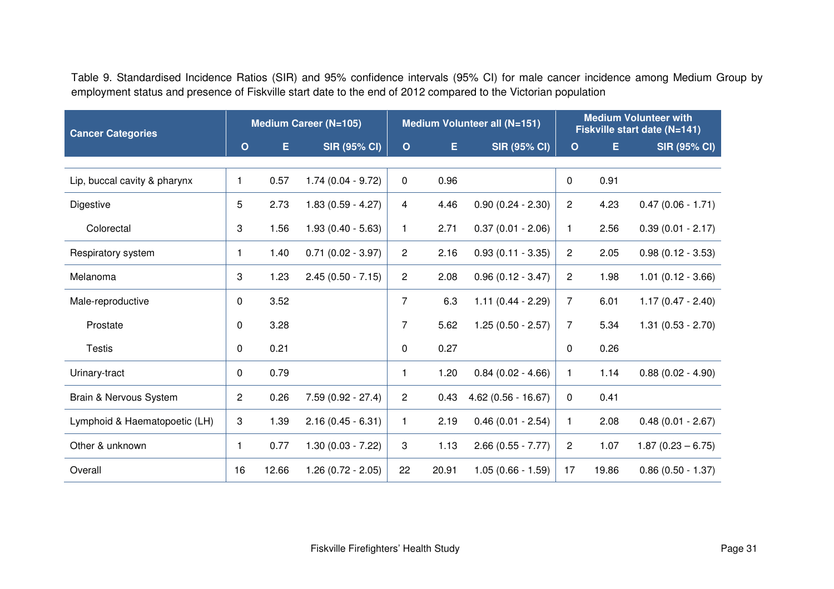Table 9. Standardised Incidence Ratios (SIR) and 95% confidence intervals (95% CI) for male cancer incidence among Medium Group by employment status and presence of Fiskville start date to the end of 2012 compared to the Victorian population

| <b>Cancer Categories</b>      |                |       | <b>Medium Career (N=105)</b> |                |       | Medium Volunteer all (N=151) | <b>Medium Volunteer with</b><br>Fiskville start date (N=141) |       |                     |  |
|-------------------------------|----------------|-------|------------------------------|----------------|-------|------------------------------|--------------------------------------------------------------|-------|---------------------|--|
|                               | $\mathbf{o}$   | Е     | <b>SIR (95% CI)</b>          | $\mathbf{o}$   | E.    | <b>SIR (95% CI)</b>          | $\mathbf{o}$                                                 | E     | <b>SIR (95% CI)</b> |  |
| Lip, buccal cavity & pharynx  | $\mathbf{1}$   | 0.57  | $1.74(0.04 - 9.72)$          | $\mathbf 0$    | 0.96  |                              | 0                                                            | 0.91  |                     |  |
| Digestive                     | 5              | 2.73  | $1.83(0.59 - 4.27)$          | 4              | 4.46  | $0.90(0.24 - 2.30)$          | $\overline{c}$                                               | 4.23  | $0.47(0.06 - 1.71)$ |  |
| Colorectal                    | 3              | 1.56  | $1.93(0.40 - 5.63)$          | 1              | 2.71  | $0.37(0.01 - 2.06)$          | $\mathbf{1}$                                                 | 2.56  | $0.39(0.01 - 2.17)$ |  |
| Respiratory system            | 1              | 1.40  | $0.71(0.02 - 3.97)$          | $\overline{2}$ | 2.16  | $0.93(0.11 - 3.35)$          | $\overline{2}$                                               | 2.05  | $0.98(0.12 - 3.53)$ |  |
| Melanoma                      | 3              | 1.23  | $2.45(0.50 - 7.15)$          | $\overline{c}$ | 2.08  | $0.96(0.12 - 3.47)$          | $\overline{c}$                                               | 1.98  | $1.01(0.12 - 3.66)$ |  |
| Male-reproductive             | 0              | 3.52  |                              | $\overline{7}$ | 6.3   | $1.11(0.44 - 2.29)$          | $\overline{7}$                                               | 6.01  | $1.17(0.47 - 2.40)$ |  |
| Prostate                      | 0              | 3.28  |                              | 7              | 5.62  | $1.25(0.50 - 2.57)$          | $\overline{7}$                                               | 5.34  | $1.31(0.53 - 2.70)$ |  |
| <b>Testis</b>                 | 0              | 0.21  |                              | $\mathbf{0}$   | 0.27  |                              | 0                                                            | 0.26  |                     |  |
| Urinary-tract                 | 0              | 0.79  |                              | 1              | 1.20  | $0.84(0.02 - 4.66)$          | 1                                                            | 1.14  | $0.88(0.02 - 4.90)$ |  |
| Brain & Nervous System        | $\overline{c}$ | 0.26  | $7.59(0.92 - 27.4)$          | $\overline{c}$ | 0.43  | $4.62(0.56 - 16.67)$         | 0                                                            | 0.41  |                     |  |
| Lymphoid & Haematopoetic (LH) | 3              | 1.39  | $2.16(0.45 - 6.31)$          | 1.             | 2.19  | $0.46(0.01 - 2.54)$          | $\mathbf{1}$                                                 | 2.08  | $0.48(0.01 - 2.67)$ |  |
| Other & unknown               | $\mathbf{1}$   | 0.77  | $1.30(0.03 - 7.22)$          | 3              | 1.13  | $2.66$ (0.55 - 7.77)         | $\overline{c}$                                               | 1.07  | $1.87(0.23 - 6.75)$ |  |
| Overall                       | 16             | 12.66 | $1.26(0.72 - 2.05)$          | 22             | 20.91 | $1.05(0.66 - 1.59)$          | 17                                                           | 19.86 | $0.86(0.50 - 1.37)$ |  |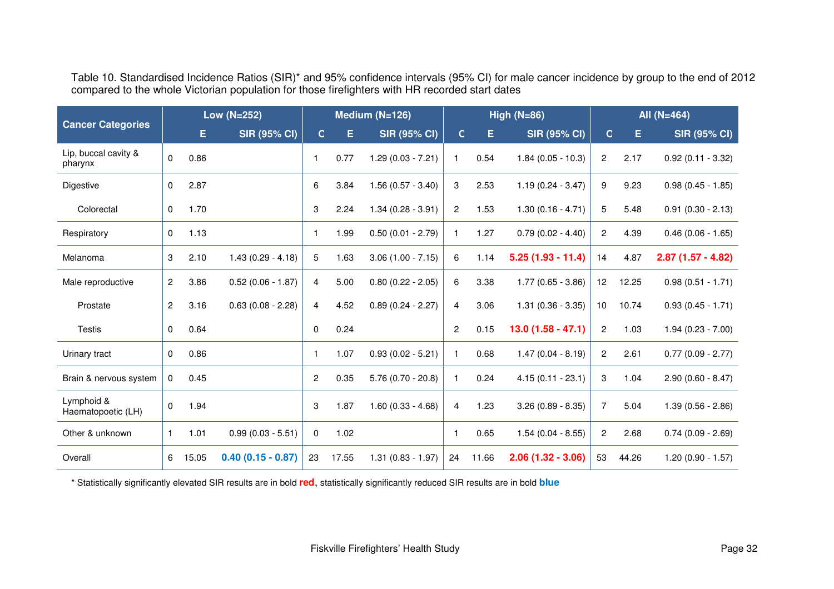| Table 10. Standardised Incidence Ratios (SIR)* and 95% confidence intervals (95% CI) for male cancer incidence by group to the end of 2012 |
|--------------------------------------------------------------------------------------------------------------------------------------------|
| compared to the whole Victorian population for those firefighters with HR recorded start dates                                             |

| <b>Cancer Categories</b>         |                | Low (N=252) |                     | Medium (N=126) |       | High $(N=86)$        |                |       | All $(N=464)$       |                 |       |                        |
|----------------------------------|----------------|-------------|---------------------|----------------|-------|----------------------|----------------|-------|---------------------|-----------------|-------|------------------------|
|                                  |                | E.          | <b>SIR (95% CI)</b> | C.             | Е     | <b>SIR (95% CI)</b>  | $\mathsf{C}$   | E.    | <b>SIR (95% CI)</b> | $\overline{C}$  | Е     | <b>SIR (95% CI)</b>    |
| Lip, buccal cavity &<br>pharynx  | $\mathbf 0$    | 0.86        |                     | -1             | 0.77  | $1.29(0.03 - 7.21)$  |                | 0.54  | $1.84(0.05 - 10.3)$ | $\overline{c}$  | 2.17  | $0.92(0.11 - 3.32)$    |
| Digestive                        | $\mathbf 0$    | 2.87        |                     | 6              | 3.84  | $1.56(0.57 - 3.40)$  | 3              | 2.53  | $1.19(0.24 - 3.47)$ | 9               | 9.23  | $0.98(0.45 - 1.85)$    |
| Colorectal                       | 0              | 1.70        |                     | 3              | 2.24  | $1.34(0.28 - 3.91)$  | $\mathbf{2}$   | 1.53  | $1.30(0.16 - 4.71)$ | 5               | 5.48  | $0.91$ $(0.30 - 2.13)$ |
| Respiratory                      | $\mathbf 0$    | 1.13        |                     | $\mathbf{1}$   | 1.99  | $0.50(0.01 - 2.79)$  |                | 1.27  | $0.79(0.02 - 4.40)$ | $\overline{2}$  | 4.39  | $0.46(0.06 - 1.65)$    |
| Melanoma                         | 3              | 2.10        | $1.43(0.29 - 4.18)$ | 5              | 1.63  | $3.06(1.00 - 7.15)$  | 6              | 1.14  | $5.25(1.93 - 11.4)$ | 14              | 4.87  | $2.87(1.57 - 4.82)$    |
| Male reproductive                | $\overline{c}$ | 3.86        | $0.52(0.06 - 1.87)$ | $\overline{a}$ | 5.00  | $0.80$ (0.22 - 2.05) | 6              | 3.38  | $1.77(0.65 - 3.86)$ | 12 <sub>2</sub> | 12.25 | $0.98(0.51 - 1.71)$    |
| Prostate                         | $\overline{c}$ | 3.16        | $0.63(0.08 - 2.28)$ | 4              | 4.52  | $0.89(0.24 - 2.27)$  | 4              | 3.06  | $1.31(0.36 - 3.35)$ | 10              | 10.74 | $0.93(0.45 - 1.71)$    |
| Testis                           | 0              | 0.64        |                     | $\mathbf 0$    | 0.24  |                      | $\overline{c}$ | 0.15  | $13.0(1.58 - 47.1)$ | $\overline{2}$  | 1.03  | $1.94(0.23 - 7.00)$    |
| Urinary tract                    | 0              | 0.86        |                     | $\mathbf{1}$   | 1.07  | $0.93(0.02 - 5.21)$  |                | 0.68  | $1.47(0.04 - 8.19)$ | $\overline{c}$  | 2.61  | $0.77(0.09 - 2.77)$    |
| Brain & nervous system           | 0              | 0.45        |                     | $\overline{c}$ | 0.35  | $5.76(0.70 - 20.8)$  |                | 0.24  | $4.15(0.11 - 23.1)$ | 3               | 1.04  | $2.90(0.60 - 8.47)$    |
| Lymphoid &<br>Haematopoetic (LH) | $\mathbf 0$    | 1.94        |                     | 3              | 1.87  | $1.60(0.33 - 4.68)$  | $\overline{4}$ | 1.23  | $3.26(0.89 - 8.35)$ | 7               | 5.04  | $1.39(0.56 - 2.86)$    |
| Other & unknown                  | $\mathbf{1}$   | 1.01        | $0.99(0.03 - 5.51)$ | 0              | 1.02  |                      |                | 0.65  | $1.54(0.04 - 8.55)$ | 2               | 2.68  | $0.74(0.09 - 2.69)$    |
| Overall                          | 6              | 15.05       | $0.40(0.15 - 0.87)$ | 23             | 17.55 | $1.31(0.83 - 1.97)$  | 24             | 11.66 | $2.06(1.32 - 3.06)$ | 53              | 44.26 | $1.20(0.90 - 1.57)$    |

\* Statistically significantly elevated SIR results are in bold **red**, statistically significantly reduced SIR results are in bold **blue**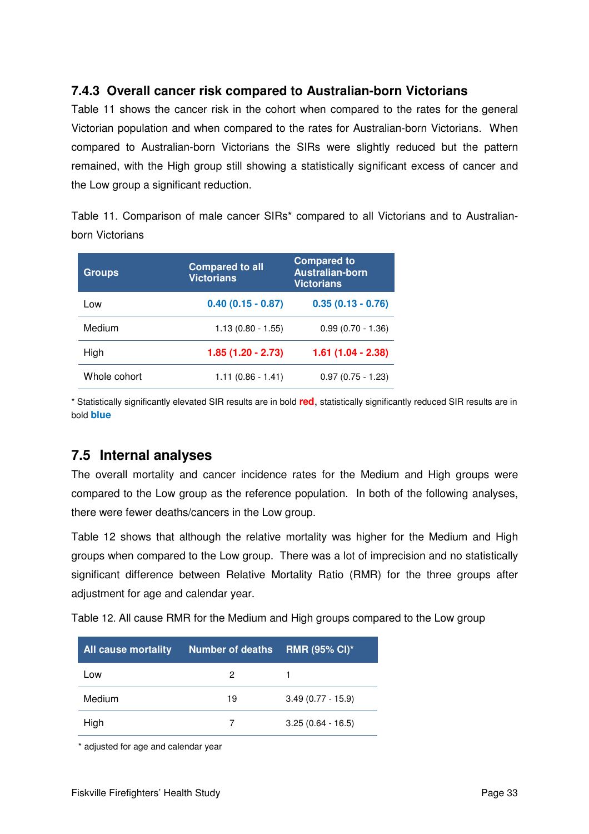## **7.4.3 Overall cancer risk compared to Australian-born Victorians**

Table 11 shows the cancer risk in the cohort when compared to the rates for the general Victorian population and when compared to the rates for Australian-born Victorians. When compared to Australian-born Victorians the SIRs were slightly reduced but the pattern remained, with the High group still showing a statistically significant excess of cancer and the Low group a significant reduction.

Table 11. Comparison of male cancer SIRs\* compared to all Victorians and to Australianborn Victorians

| <b>Groups</b> | <b>Compared to all</b><br><b>Victorians</b> | <b>Compared to</b><br><b>Australian-born</b><br><b>Victorians</b> |
|---------------|---------------------------------------------|-------------------------------------------------------------------|
| Low           | $0.40(0.15 - 0.87)$                         | $0.35(0.13 - 0.76)$                                               |
| Medium        | $1.13(0.80 - 1.55)$                         | $0.99(0.70 - 1.36)$                                               |
| High          | $1.85(1.20 - 2.73)$                         | $1.61(1.04 - 2.38)$                                               |
| Whole cohort  | $1.11(0.86 - 1.41)$                         | $0.97(0.75 - 1.23)$                                               |

\* Statistically significantly elevated SIR results are in bold **red**, statistically significantly reduced SIR results are in bold **blue**

## **7.5 Internal analyses**

The overall mortality and cancer incidence rates for the Medium and High groups were compared to the Low group as the reference population. In both of the following analyses, there were fewer deaths/cancers in the Low group.

Table 12 shows that although the relative mortality was higher for the Medium and High groups when compared to the Low group. There was a lot of imprecision and no statistically significant difference between Relative Mortality Ratio (RMR) for the three groups after adjustment for age and calendar year.

Table 12. All cause RMR for the Medium and High groups compared to the Low group

| <b>All cause mortality</b> | <b>Number of deaths</b> | <b>RMR (95% CI)*</b> |
|----------------------------|-------------------------|----------------------|
| Low                        | 2                       |                      |
| Medium                     | 19                      | $3.49(0.77 - 15.9)$  |
| High                       |                         | $3.25(0.64 - 16.5)$  |

\* adjusted for age and calendar year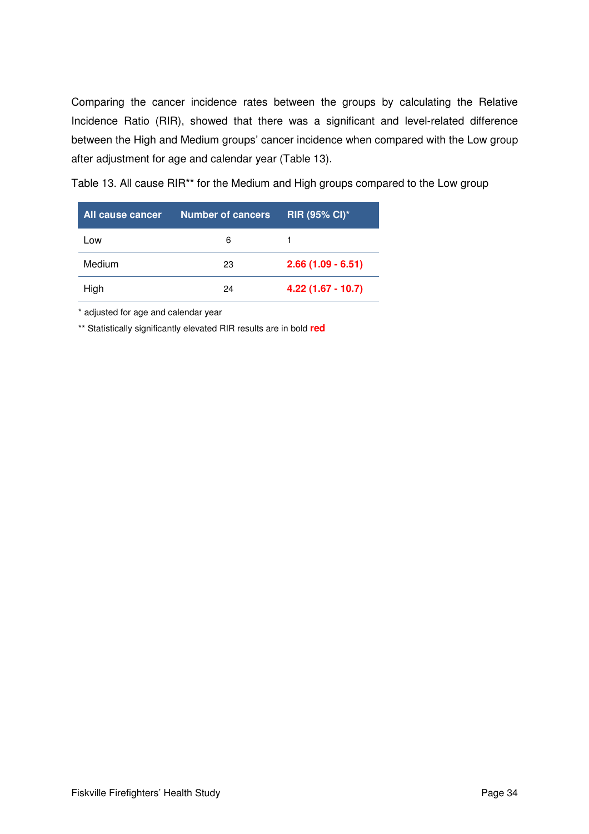Comparing the cancer incidence rates between the groups by calculating the Relative Incidence Ratio (RIR), showed that there was a significant and level-related difference between the High and Medium groups' cancer incidence when compared with the Low group after adjustment for age and calendar year (Table 13).

Table 13. All cause RIR\*\* for the Medium and High groups compared to the Low group

| All cause cancer | <b>Number of cancers</b> | <b>RIR (95% CI)*</b> |
|------------------|--------------------------|----------------------|
| Low              | 6                        |                      |
| Medium           | 23                       | $2.66(1.09 - 6.51)$  |
| High             | 24                       | $4.22(1.67 - 10.7)$  |

\* adjusted for age and calendar year

\*\* Statistically significantly elevated RIR results are in bold **red**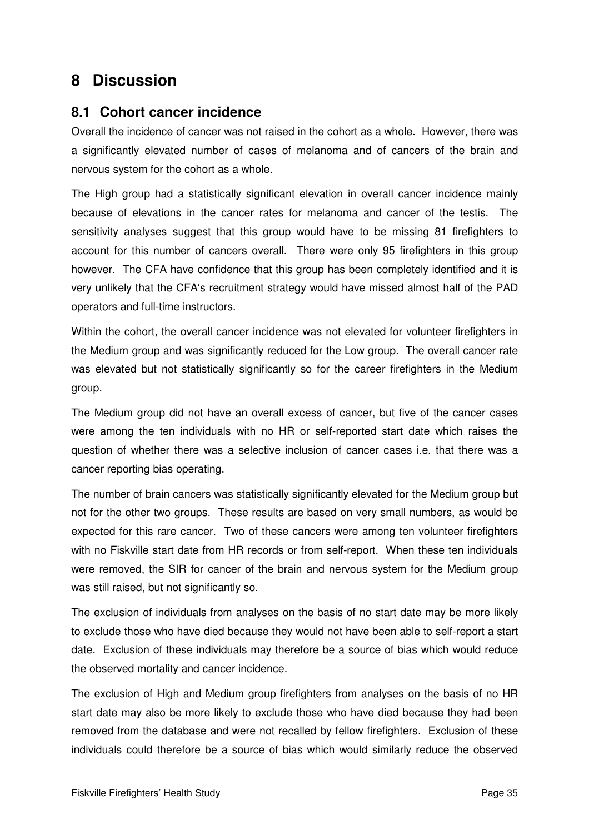# **8 Discussion**

## **8.1 Cohort cancer incidence**

Overall the incidence of cancer was not raised in the cohort as a whole. However, there was a significantly elevated number of cases of melanoma and of cancers of the brain and nervous system for the cohort as a whole.

The High group had a statistically significant elevation in overall cancer incidence mainly because of elevations in the cancer rates for melanoma and cancer of the testis. The sensitivity analyses suggest that this group would have to be missing 81 firefighters to account for this number of cancers overall. There were only 95 firefighters in this group however. The CFA have confidence that this group has been completely identified and it is very unlikely that the CFA's recruitment strategy would have missed almost half of the PAD operators and full-time instructors.

Within the cohort, the overall cancer incidence was not elevated for volunteer firefighters in the Medium group and was significantly reduced for the Low group. The overall cancer rate was elevated but not statistically significantly so for the career firefighters in the Medium group.

The Medium group did not have an overall excess of cancer, but five of the cancer cases were among the ten individuals with no HR or self-reported start date which raises the question of whether there was a selective inclusion of cancer cases i.e. that there was a cancer reporting bias operating.

The number of brain cancers was statistically significantly elevated for the Medium group but not for the other two groups. These results are based on very small numbers, as would be expected for this rare cancer. Two of these cancers were among ten volunteer firefighters with no Fiskville start date from HR records or from self-report. When these ten individuals were removed, the SIR for cancer of the brain and nervous system for the Medium group was still raised, but not significantly so.

The exclusion of individuals from analyses on the basis of no start date may be more likely to exclude those who have died because they would not have been able to self-report a start date. Exclusion of these individuals may therefore be a source of bias which would reduce the observed mortality and cancer incidence.

The exclusion of High and Medium group firefighters from analyses on the basis of no HR start date may also be more likely to exclude those who have died because they had been removed from the database and were not recalled by fellow firefighters. Exclusion of these individuals could therefore be a source of bias which would similarly reduce the observed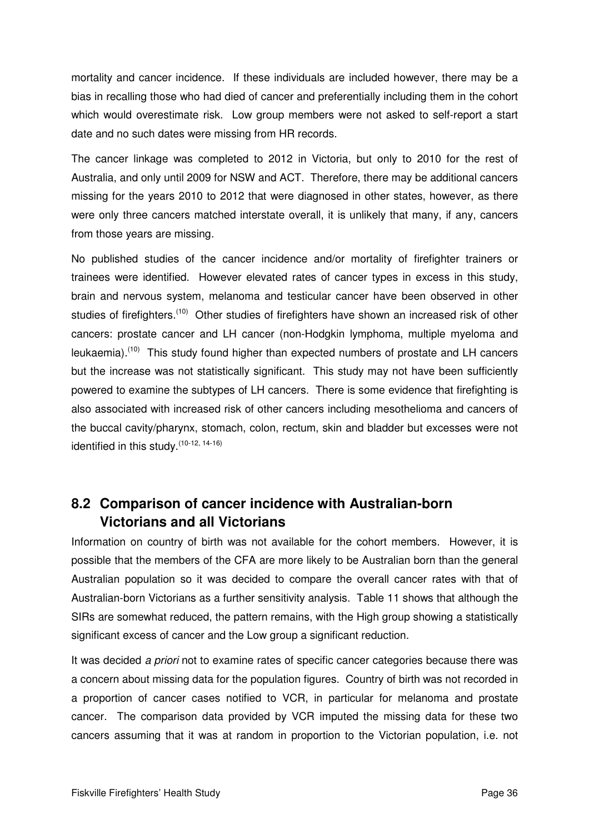mortality and cancer incidence. If these individuals are included however, there may be a bias in recalling those who had died of cancer and preferentially including them in the cohort which would overestimate risk. Low group members were not asked to self-report a start date and no such dates were missing from HR records.

The cancer linkage was completed to 2012 in Victoria, but only to 2010 for the rest of Australia, and only until 2009 for NSW and ACT. Therefore, there may be additional cancers missing for the years 2010 to 2012 that were diagnosed in other states, however, as there were only three cancers matched interstate overall, it is unlikely that many, if any, cancers from those years are missing.

No published studies of the cancer incidence and/or mortality of firefighter trainers or trainees were identified. However elevated rates of cancer types in excess in this study, brain and nervous system, melanoma and testicular cancer have been observed in other studies of firefighters.<sup>(10)</sup> Other studies of firefighters have shown an increased risk of other cancers: prostate cancer and LH cancer (non-Hodgkin lymphoma, multiple myeloma and leukaemia).<sup>(10)</sup> This study found higher than expected numbers of prostate and LH cancers but the increase was not statistically significant. This study may not have been sufficiently powered to examine the subtypes of LH cancers. There is some evidence that firefighting is also associated with increased risk of other cancers including mesothelioma and cancers of the buccal cavity/pharynx, stomach, colon, rectum, skin and bladder but excesses were not identified in this study.<sup>(10-12, 14-16)</sup>

## **8.2 Comparison of cancer incidence with Australian-born Victorians and all Victorians**

Information on country of birth was not available for the cohort members. However, it is possible that the members of the CFA are more likely to be Australian born than the general Australian population so it was decided to compare the overall cancer rates with that of Australian-born Victorians as a further sensitivity analysis. Table 11 shows that although the SIRs are somewhat reduced, the pattern remains, with the High group showing a statistically significant excess of cancer and the Low group a significant reduction.

It was decided a priori not to examine rates of specific cancer categories because there was a concern about missing data for the population figures. Country of birth was not recorded in a proportion of cancer cases notified to VCR, in particular for melanoma and prostate cancer. The comparison data provided by VCR imputed the missing data for these two cancers assuming that it was at random in proportion to the Victorian population, i.e. not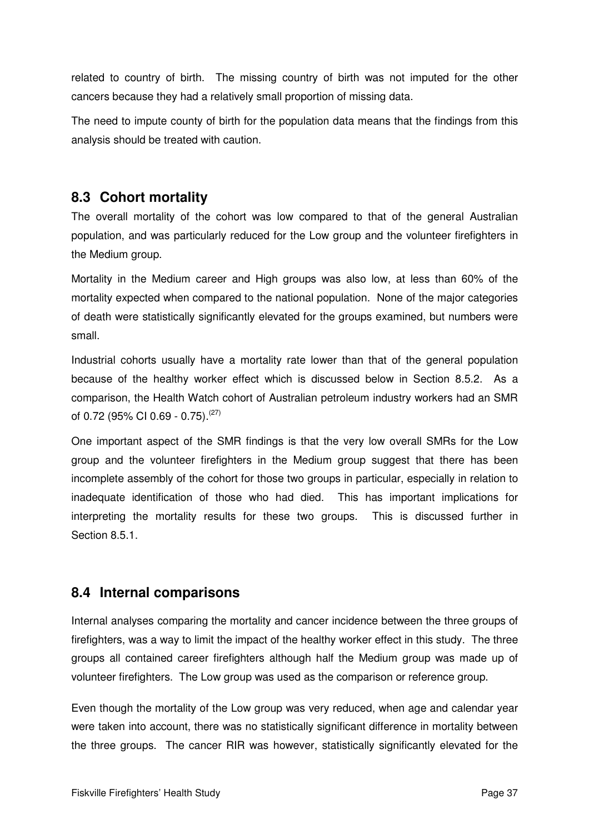related to country of birth. The missing country of birth was not imputed for the other cancers because they had a relatively small proportion of missing data.

The need to impute county of birth for the population data means that the findings from this analysis should be treated with caution.

## **8.3 Cohort mortality**

The overall mortality of the cohort was low compared to that of the general Australian population, and was particularly reduced for the Low group and the volunteer firefighters in the Medium group.

Mortality in the Medium career and High groups was also low, at less than 60% of the mortality expected when compared to the national population. None of the major categories of death were statistically significantly elevated for the groups examined, but numbers were small.

Industrial cohorts usually have a mortality rate lower than that of the general population because of the healthy worker effect which is discussed below in Section 8.5.2. As a comparison, the Health Watch cohort of Australian petroleum industry workers had an SMR of 0.72 (95% CI 0.69 - 0.75). $(27)$ 

One important aspect of the SMR findings is that the very low overall SMRs for the Low group and the volunteer firefighters in the Medium group suggest that there has been incomplete assembly of the cohort for those two groups in particular, especially in relation to inadequate identification of those who had died. This has important implications for interpreting the mortality results for these two groups. This is discussed further in Section 8.5.1.

## **8.4 Internal comparisons**

Internal analyses comparing the mortality and cancer incidence between the three groups of firefighters, was a way to limit the impact of the healthy worker effect in this study. The three groups all contained career firefighters although half the Medium group was made up of volunteer firefighters. The Low group was used as the comparison or reference group.

Even though the mortality of the Low group was very reduced, when age and calendar year were taken into account, there was no statistically significant difference in mortality between the three groups. The cancer RIR was however, statistically significantly elevated for the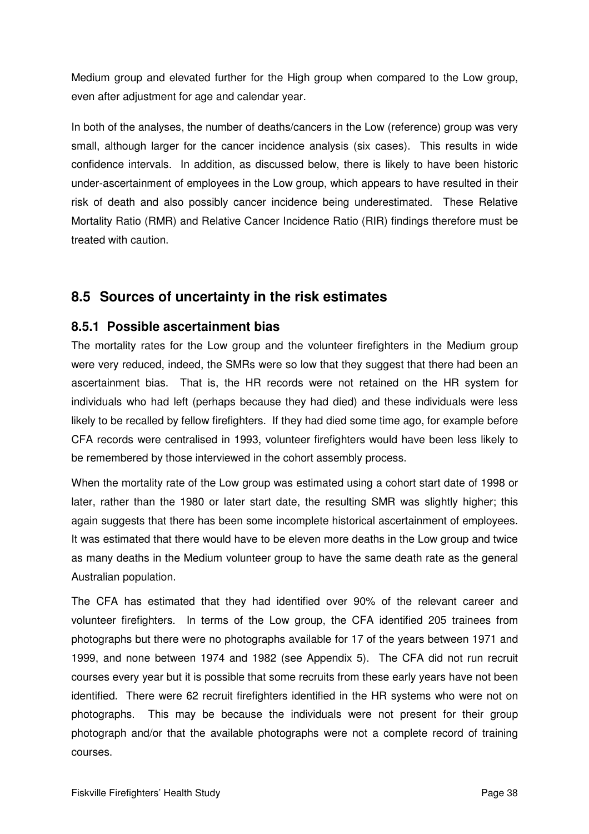Medium group and elevated further for the High group when compared to the Low group, even after adjustment for age and calendar year.

In both of the analyses, the number of deaths/cancers in the Low (reference) group was very small, although larger for the cancer incidence analysis (six cases). This results in wide confidence intervals. In addition, as discussed below, there is likely to have been historic under-ascertainment of employees in the Low group, which appears to have resulted in their risk of death and also possibly cancer incidence being underestimated. These Relative Mortality Ratio (RMR) and Relative Cancer Incidence Ratio (RIR) findings therefore must be treated with caution.

## **8.5 Sources of uncertainty in the risk estimates**

#### **8.5.1 Possible ascertainment bias**

The mortality rates for the Low group and the volunteer firefighters in the Medium group were very reduced, indeed, the SMRs were so low that they suggest that there had been an ascertainment bias. That is, the HR records were not retained on the HR system for individuals who had left (perhaps because they had died) and these individuals were less likely to be recalled by fellow firefighters. If they had died some time ago, for example before CFA records were centralised in 1993, volunteer firefighters would have been less likely to be remembered by those interviewed in the cohort assembly process.

When the mortality rate of the Low group was estimated using a cohort start date of 1998 or later, rather than the 1980 or later start date, the resulting SMR was slightly higher; this again suggests that there has been some incomplete historical ascertainment of employees. It was estimated that there would have to be eleven more deaths in the Low group and twice as many deaths in the Medium volunteer group to have the same death rate as the general Australian population.

The CFA has estimated that they had identified over 90% of the relevant career and volunteer firefighters. In terms of the Low group, the CFA identified 205 trainees from photographs but there were no photographs available for 17 of the years between 1971 and 1999, and none between 1974 and 1982 (see Appendix 5). The CFA did not run recruit courses every year but it is possible that some recruits from these early years have not been identified. There were 62 recruit firefighters identified in the HR systems who were not on photographs. This may be because the individuals were not present for their group photograph and/or that the available photographs were not a complete record of training courses.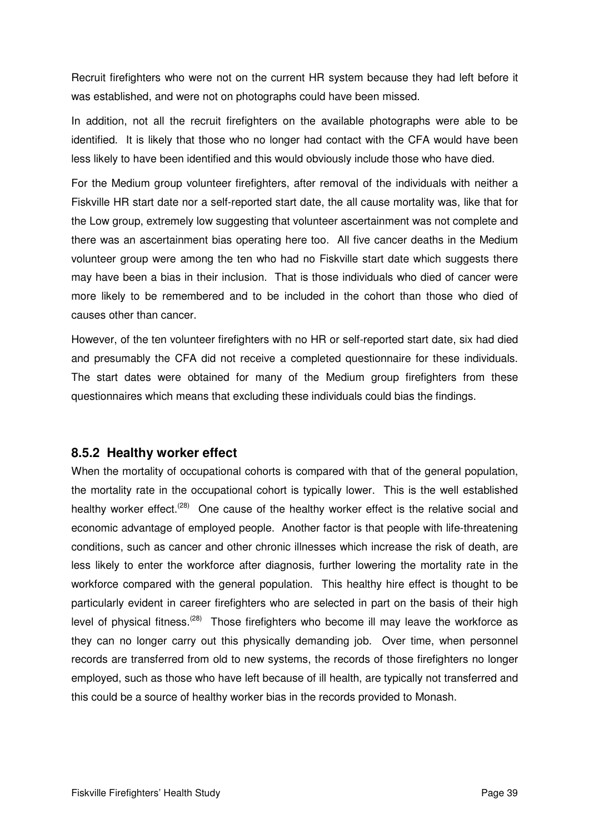Recruit firefighters who were not on the current HR system because they had left before it was established, and were not on photographs could have been missed.

In addition, not all the recruit firefighters on the available photographs were able to be identified. It is likely that those who no longer had contact with the CFA would have been less likely to have been identified and this would obviously include those who have died.

For the Medium group volunteer firefighters, after removal of the individuals with neither a Fiskville HR start date nor a self-reported start date, the all cause mortality was, like that for the Low group, extremely low suggesting that volunteer ascertainment was not complete and there was an ascertainment bias operating here too. All five cancer deaths in the Medium volunteer group were among the ten who had no Fiskville start date which suggests there may have been a bias in their inclusion. That is those individuals who died of cancer were more likely to be remembered and to be included in the cohort than those who died of causes other than cancer.

However, of the ten volunteer firefighters with no HR or self-reported start date, six had died and presumably the CFA did not receive a completed questionnaire for these individuals. The start dates were obtained for many of the Medium group firefighters from these questionnaires which means that excluding these individuals could bias the findings.

#### **8.5.2 Healthy worker effect**

When the mortality of occupational cohorts is compared with that of the general population, the mortality rate in the occupational cohort is typically lower. This is the well established healthy worker effect.<sup>(28)</sup> One cause of the healthy worker effect is the relative social and economic advantage of employed people. Another factor is that people with life-threatening conditions, such as cancer and other chronic illnesses which increase the risk of death, are less likely to enter the workforce after diagnosis, further lowering the mortality rate in the workforce compared with the general population. This healthy hire effect is thought to be particularly evident in career firefighters who are selected in part on the basis of their high level of physical fitness.<sup>(28)</sup> Those firefighters who become ill may leave the workforce as they can no longer carry out this physically demanding job. Over time, when personnel records are transferred from old to new systems, the records of those firefighters no longer employed, such as those who have left because of ill health, are typically not transferred and this could be a source of healthy worker bias in the records provided to Monash.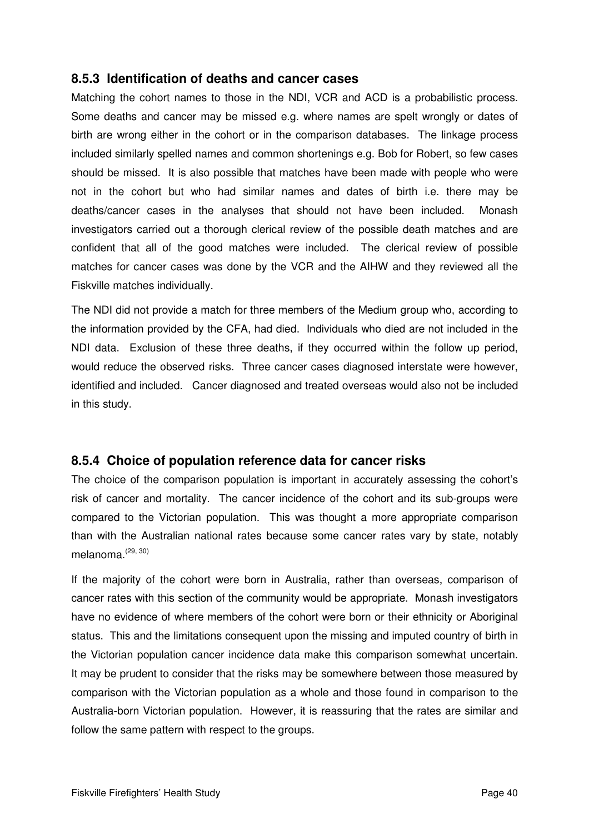#### **8.5.3 Identification of deaths and cancer cases**

Matching the cohort names to those in the NDI, VCR and ACD is a probabilistic process. Some deaths and cancer may be missed e.g. where names are spelt wrongly or dates of birth are wrong either in the cohort or in the comparison databases. The linkage process included similarly spelled names and common shortenings e.g. Bob for Robert, so few cases should be missed. It is also possible that matches have been made with people who were not in the cohort but who had similar names and dates of birth i.e. there may be deaths/cancer cases in the analyses that should not have been included. Monash investigators carried out a thorough clerical review of the possible death matches and are confident that all of the good matches were included. The clerical review of possible matches for cancer cases was done by the VCR and the AIHW and they reviewed all the Fiskville matches individually.

The NDI did not provide a match for three members of the Medium group who, according to the information provided by the CFA, had died. Individuals who died are not included in the NDI data. Exclusion of these three deaths, if they occurred within the follow up period, would reduce the observed risks. Three cancer cases diagnosed interstate were however, identified and included. Cancer diagnosed and treated overseas would also not be included in this study.

#### **8.5.4 Choice of population reference data for cancer risks**

The choice of the comparison population is important in accurately assessing the cohort's risk of cancer and mortality. The cancer incidence of the cohort and its sub-groups were compared to the Victorian population. This was thought a more appropriate comparison than with the Australian national rates because some cancer rates vary by state, notably melanoma.<sup>(29, 30)</sup>

If the majority of the cohort were born in Australia, rather than overseas, comparison of cancer rates with this section of the community would be appropriate. Monash investigators have no evidence of where members of the cohort were born or their ethnicity or Aboriginal status. This and the limitations consequent upon the missing and imputed country of birth in the Victorian population cancer incidence data make this comparison somewhat uncertain. It may be prudent to consider that the risks may be somewhere between those measured by comparison with the Victorian population as a whole and those found in comparison to the Australia-born Victorian population. However, it is reassuring that the rates are similar and follow the same pattern with respect to the groups.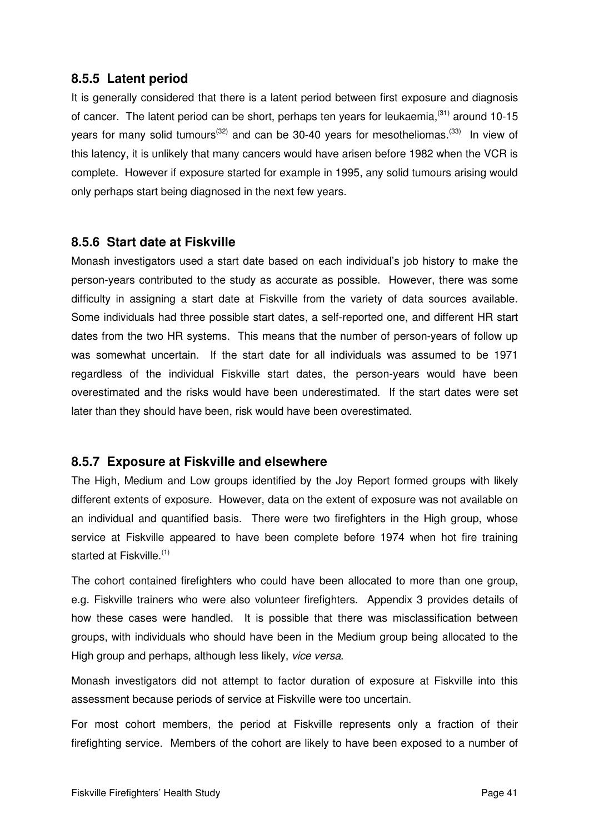#### **8.5.5 Latent period**

It is generally considered that there is a latent period between first exposure and diagnosis of cancer. The latent period can be short, perhaps ten years for leukaemia,  $(31)$  around 10-15 years for many solid tumours<sup>(32)</sup> and can be 30-40 years for mesotheliomas.<sup>(33)</sup> In view of this latency, it is unlikely that many cancers would have arisen before 1982 when the VCR is complete. However if exposure started for example in 1995, any solid tumours arising would only perhaps start being diagnosed in the next few years.

#### **8.5.6 Start date at Fiskville**

Monash investigators used a start date based on each individual's job history to make the person-years contributed to the study as accurate as possible. However, there was some difficulty in assigning a start date at Fiskville from the variety of data sources available. Some individuals had three possible start dates, a self-reported one, and different HR start dates from the two HR systems. This means that the number of person-years of follow up was somewhat uncertain. If the start date for all individuals was assumed to be 1971 regardless of the individual Fiskville start dates, the person-years would have been overestimated and the risks would have been underestimated. If the start dates were set later than they should have been, risk would have been overestimated.

#### **8.5.7 Exposure at Fiskville and elsewhere**

The High, Medium and Low groups identified by the Joy Report formed groups with likely different extents of exposure. However, data on the extent of exposure was not available on an individual and quantified basis. There were two firefighters in the High group, whose service at Fiskville appeared to have been complete before 1974 when hot fire training started at Fiskville.<sup>(1)</sup>

The cohort contained firefighters who could have been allocated to more than one group, e.g. Fiskville trainers who were also volunteer firefighters. Appendix 3 provides details of how these cases were handled. It is possible that there was misclassification between groups, with individuals who should have been in the Medium group being allocated to the High group and perhaps, although less likely, vice versa.

Monash investigators did not attempt to factor duration of exposure at Fiskville into this assessment because periods of service at Fiskville were too uncertain.

For most cohort members, the period at Fiskville represents only a fraction of their firefighting service. Members of the cohort are likely to have been exposed to a number of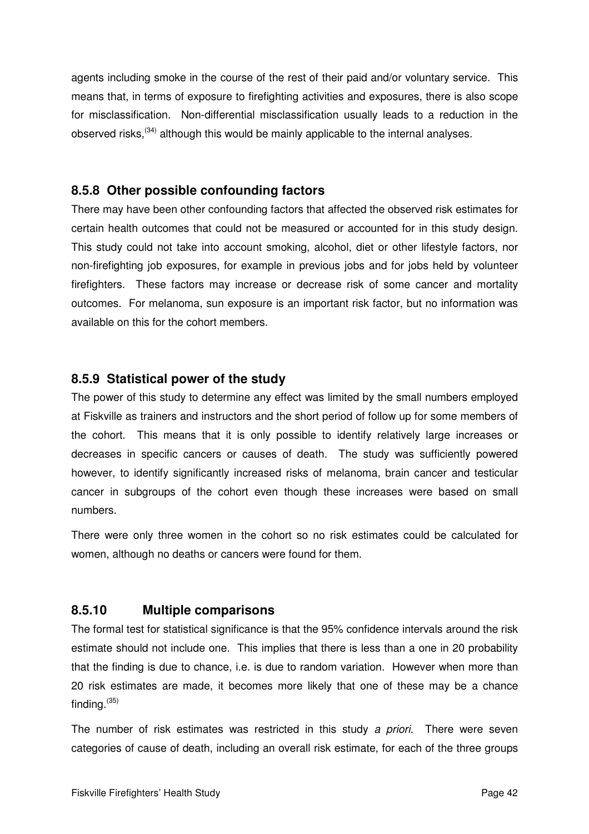agents including smoke in the course of the rest of their paid and/or voluntary service. This means that, in terms of exposure to firefighting activities and exposures, there is also scope for misclassification. Non-differential misclassification usually leads to a reduction in the observed risks,<sup>(34)</sup> although this would be mainly applicable to the internal analyses.

#### **8.5.8 Other possible confounding factors**

There may have been other confounding factors that affected the observed risk estimates for certain health outcomes that could not be measured or accounted for in this study design. This study could not take into account smoking, alcohol, diet or other lifestyle factors, nor non-firefighting job exposures, for example in previous jobs and for jobs held by volunteer firefighters. These factors may increase or decrease risk of some cancer and mortality outcomes. For melanoma, sun exposure is an important risk factor, but no information was available on this for the cohort members.

#### **8.5.9 Statistical power of the study**

The power of this study to determine any effect was limited by the small numbers employed at Fiskville as trainers and instructors and the short period of follow up for some members of the cohort. This means that it is only possible to identify relatively large increases or decreases in specific cancers or causes of death. The study was sufficiently powered however, to identify significantly increased risks of melanoma, brain cancer and testicular cancer in subgroups of the cohort even though these increases were based on small numbers.

There were only three women in the cohort so no risk estimates could be calculated for women, although no deaths or cancers were found for them.

## **8.5.10 Multiple comparisons**

The formal test for statistical significance is that the 95% confidence intervals around the risk estimate should not include one. This implies that there is less than a one in 20 probability that the finding is due to chance, i.e. is due to random variation. However when more than 20 risk estimates are made, it becomes more likely that one of these may be a chance finding. $(35)$ 

The number of risk estimates was restricted in this study a priori. There were seven categories of cause of death, including an overall risk estimate, for each of the three groups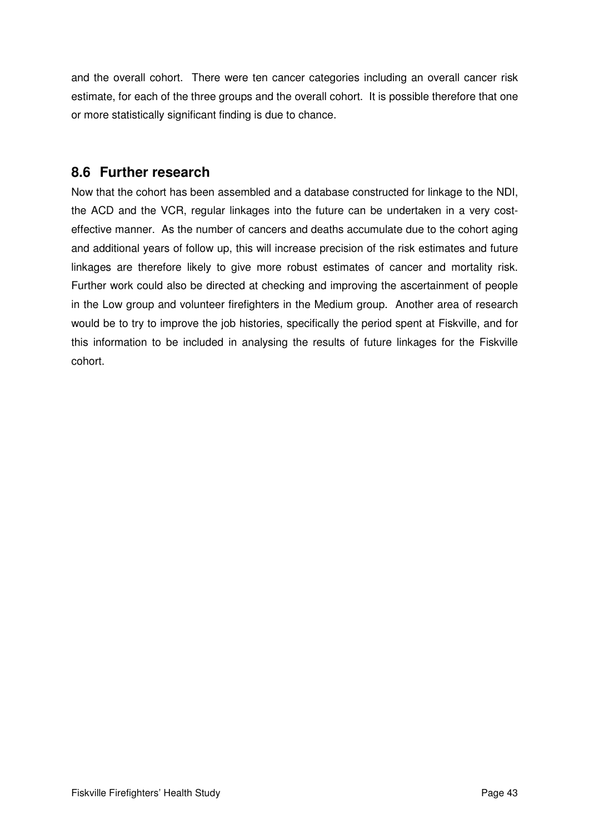and the overall cohort. There were ten cancer categories including an overall cancer risk estimate, for each of the three groups and the overall cohort. It is possible therefore that one or more statistically significant finding is due to chance.

## **8.6 Further research**

Now that the cohort has been assembled and a database constructed for linkage to the NDI, the ACD and the VCR, regular linkages into the future can be undertaken in a very costeffective manner. As the number of cancers and deaths accumulate due to the cohort aging and additional years of follow up, this will increase precision of the risk estimates and future linkages are therefore likely to give more robust estimates of cancer and mortality risk. Further work could also be directed at checking and improving the ascertainment of people in the Low group and volunteer firefighters in the Medium group. Another area of research would be to try to improve the job histories, specifically the period spent at Fiskville, and for this information to be included in analysing the results of future linkages for the Fiskville cohort.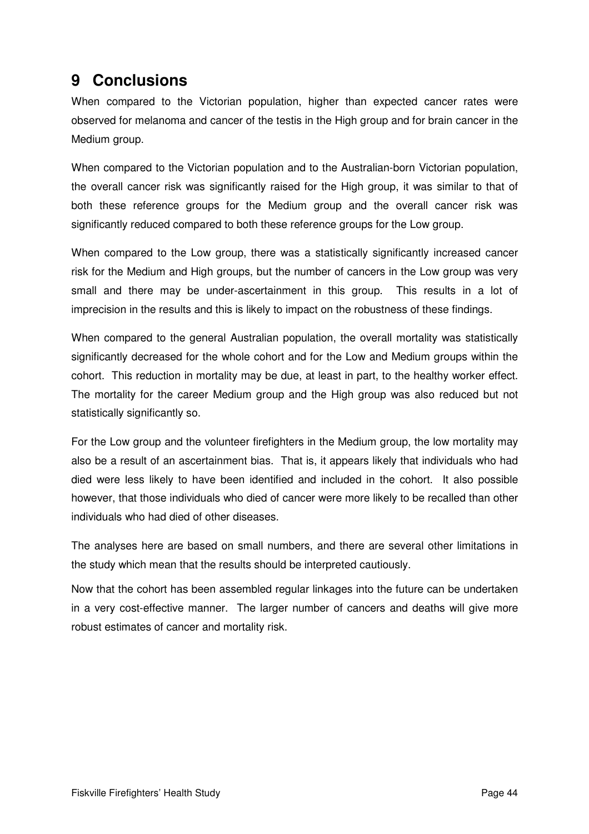# **9 Conclusions**

When compared to the Victorian population, higher than expected cancer rates were observed for melanoma and cancer of the testis in the High group and for brain cancer in the Medium group.

When compared to the Victorian population and to the Australian-born Victorian population, the overall cancer risk was significantly raised for the High group, it was similar to that of both these reference groups for the Medium group and the overall cancer risk was significantly reduced compared to both these reference groups for the Low group.

When compared to the Low group, there was a statistically significantly increased cancer risk for the Medium and High groups, but the number of cancers in the Low group was very small and there may be under-ascertainment in this group. This results in a lot of imprecision in the results and this is likely to impact on the robustness of these findings.

When compared to the general Australian population, the overall mortality was statistically significantly decreased for the whole cohort and for the Low and Medium groups within the cohort. This reduction in mortality may be due, at least in part, to the healthy worker effect. The mortality for the career Medium group and the High group was also reduced but not statistically significantly so.

For the Low group and the volunteer firefighters in the Medium group, the low mortality may also be a result of an ascertainment bias. That is, it appears likely that individuals who had died were less likely to have been identified and included in the cohort. It also possible however, that those individuals who died of cancer were more likely to be recalled than other individuals who had died of other diseases.

The analyses here are based on small numbers, and there are several other limitations in the study which mean that the results should be interpreted cautiously.

Now that the cohort has been assembled regular linkages into the future can be undertaken in a very cost-effective manner. The larger number of cancers and deaths will give more robust estimates of cancer and mortality risk.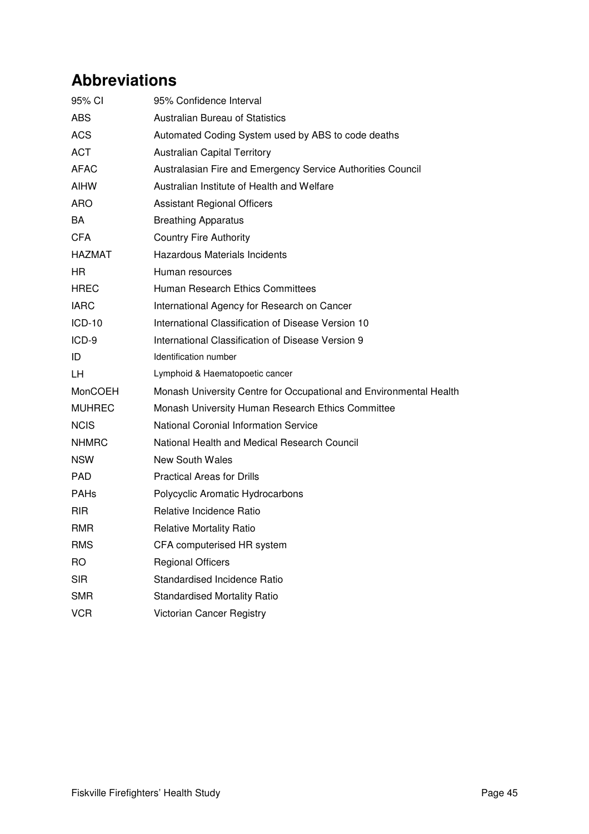# **Abbreviations**

| 95% CI        | 95% Confidence Interval                                            |
|---------------|--------------------------------------------------------------------|
| <b>ABS</b>    | <b>Australian Bureau of Statistics</b>                             |
| <b>ACS</b>    | Automated Coding System used by ABS to code deaths                 |
| <b>ACT</b>    | <b>Australian Capital Territory</b>                                |
| <b>AFAC</b>   | Australasian Fire and Emergency Service Authorities Council        |
| <b>AIHW</b>   | Australian Institute of Health and Welfare                         |
| ARO           | <b>Assistant Regional Officers</b>                                 |
| BA            | <b>Breathing Apparatus</b>                                         |
| <b>CFA</b>    | <b>Country Fire Authority</b>                                      |
| HAZMAT        | <b>Hazardous Materials Incidents</b>                               |
| HR            | Human resources                                                    |
| HREC          | Human Research Ethics Committees                                   |
| <b>IARC</b>   | International Agency for Research on Cancer                        |
| <b>ICD-10</b> | International Classification of Disease Version 10                 |
| ICD-9         | International Classification of Disease Version 9                  |
| ID            | Identification number                                              |
| LН            | Lymphoid & Haematopoetic cancer                                    |
| MonCOEH       | Monash University Centre for Occupational and Environmental Health |
| <b>MUHREC</b> | Monash University Human Research Ethics Committee                  |
| <b>NCIS</b>   | <b>National Coronial Information Service</b>                       |
| <b>NHMRC</b>  | National Health and Medical Research Council                       |
| <b>NSW</b>    | <b>New South Wales</b>                                             |
| <b>PAD</b>    | <b>Practical Areas for Drills</b>                                  |
| <b>PAHs</b>   | Polycyclic Aromatic Hydrocarbons                                   |
| <b>RIR</b>    | Relative Incidence Ratio                                           |
| <b>RMR</b>    | <b>Relative Mortality Ratio</b>                                    |
| <b>RMS</b>    | CFA computerised HR system                                         |
| <b>RO</b>     | <b>Regional Officers</b>                                           |
| <b>SIR</b>    | Standardised Incidence Ratio                                       |
| <b>SMR</b>    | <b>Standardised Mortality Ratio</b>                                |
| <b>VCR</b>    | Victorian Cancer Registry                                          |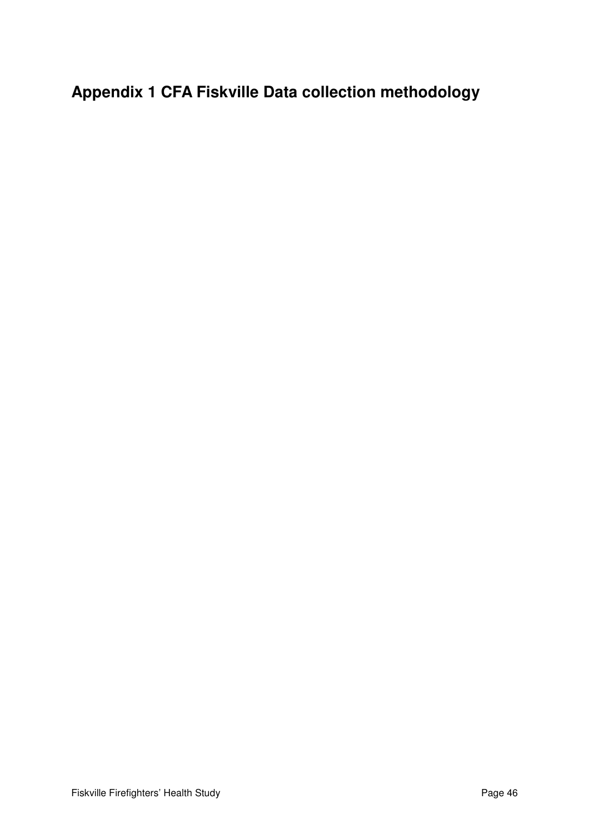**Appendix 1 CFA Fiskville Data collection methodology**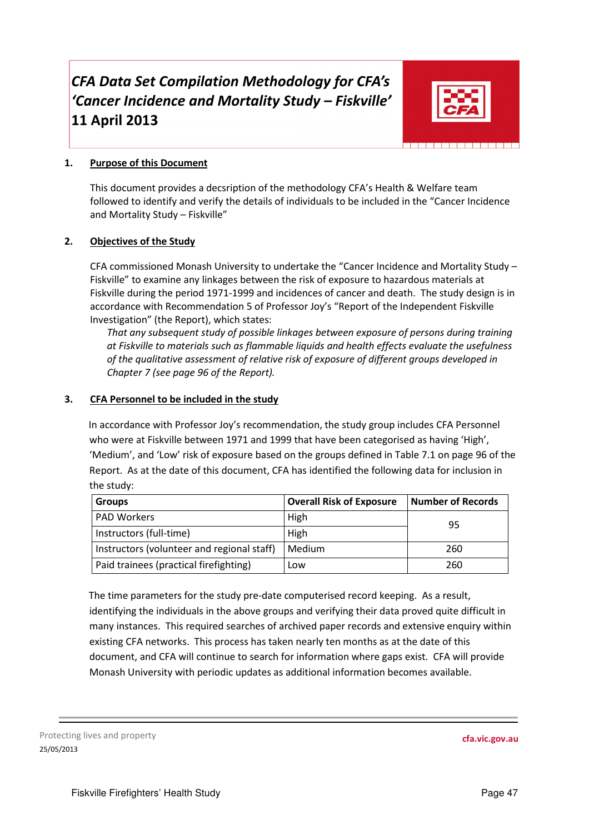# CFA Data Set Compilation Methodology for CFA's 'Cancer Incidence and Mortality Study – Fiskville' 11 April 2013



#### 1. Purpose of this Document

This document provides a decsription of the methodology CFA's Health & Welfare team followed to identify and verify the details of individuals to be included in the "Cancer Incidence and Mortality Study – Fiskville"

#### 2. Objectives of the Study

CFA commissioned Monash University to undertake the "Cancer Incidence and Mortality Study – Fiskville" to examine any linkages between the risk of exposure to hazardous materials at Fiskville during the period 1971-1999 and incidences of cancer and death. The study design is in accordance with Recommendation 5 of Professor Joy's "Report of the Independent Fiskville Investigation" (the Report), which states:

That any subsequent study of possible linkages between exposure of persons during training at Fiskville to materials such as flammable liquids and health effects evaluate the usefulness of the qualitative assessment of relative risk of exposure of different groups developed in Chapter 7 (see page 96 of the Report).

#### 3. CFA Personnel to be included in the study

In accordance with Professor Joy's recommendation, the study group includes CFA Personnel who were at Fiskville between 1971 and 1999 that have been categorised as having 'High', 'Medium', and 'Low' risk of exposure based on the groups defined in Table 7.1 on page 96 of the Report. As at the date of this document, CFA has identified the following data for inclusion in the study:

| <b>Groups</b>                              | Overall Risk of Exposure | <b>Number of Records</b> |
|--------------------------------------------|--------------------------|--------------------------|
| <b>PAD Workers</b>                         | High                     | 95                       |
| Instructors (full-time)                    | High                     |                          |
| Instructors (volunteer and regional staff) | Medium                   | 260                      |
| Paid trainees (practical firefighting)     | Low                      | 260                      |

The time parameters for the study pre-date computerised record keeping. As a result, identifying the individuals in the above groups and verifying their data proved quite difficult in many instances. This required searches of archived paper records and extensive enquiry within existing CFA networks. This process has taken nearly ten months as at the date of this document, and CFA will continue to search for information where gaps exist. CFA will provide Monash University with periodic updates as additional information becomes available.

Protecting lives and property 25/05/2013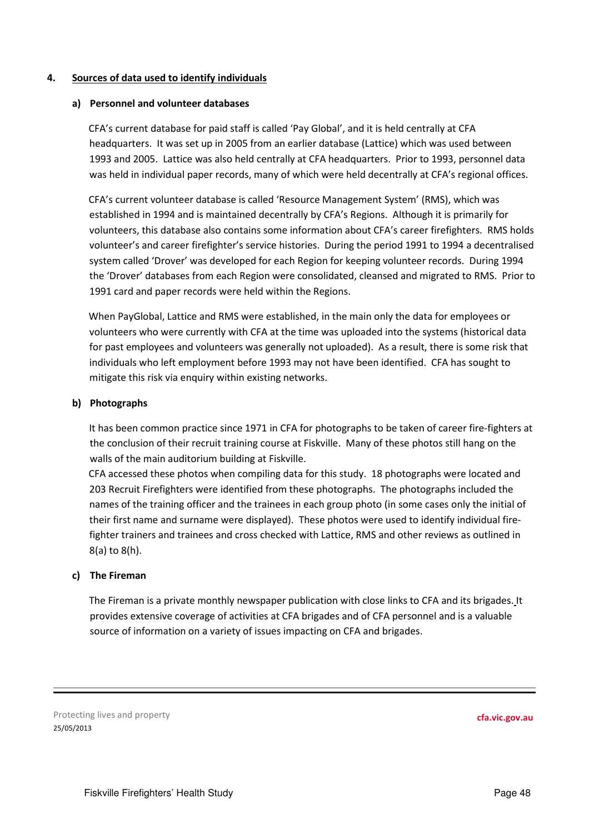#### 4. Sources of data used to identify individuals

#### a) Personnel and volunteer databases

CFA's current database for paid staff is called 'Pay Global', and it is held centrally at CFA headquarters. It was set up in 2005 from an earlier database (Lattice) which was used between 1993 and 2005. Lattice was also held centrally at CFA headquarters. Prior to 1993, personnel data was held in individual paper records, many of which were held decentrally at CFA's regional offices.

CFA's current volunteer database is called 'Resource Management System' (RMS), which was established in 1994 and is maintained decentrally by CFA's Regions. Although it is primarily for volunteers, this database also contains some information about CFA's career firefighters. RMS holds volunteer's and career firefighter's service histories. During the period 1991 to 1994 a decentralised system called 'Drover' was developed for each Region for keeping volunteer records. During 1994 the 'Drover' databases from each Region were consolidated, cleansed and migrated to RMS. Prior to 1991 card and paper records were held within the Regions.

When PayGlobal, Lattice and RMS were established, in the main only the data for employees or volunteers who were currently with CFA at the time was uploaded into the systems (historical data for past employees and volunteers was generally not uploaded). As a result, there is some risk that individuals who left employment before 1993 may not have been identified. CFA has sought to mitigate this risk via enquiry within existing networks.

#### b) Photographs

It has been common practice since 1971 in CFA for photographs to be taken of career fire-fighters at the conclusion of their recruit training course at Fiskville. Many of these photos still hang on the walls of the main auditorium building at Fiskville.

CFA accessed these photos when compiling data for this study. 18 photographs were located and 203 Recruit Firefighters were identified from these photographs. The photographs included the names of the training officer and the trainees in each group photo (in some cases only the initial of their first name and surname were displayed). These photos were used to identify individual firefighter trainers and trainees and cross checked with Lattice, RMS and other reviews as outlined in 8(a) to 8(h).

#### c) The Fireman

The Fireman is a private monthly newspaper publication with close links to CFA and its brigades. It provides extensive coverage of activities at CFA brigades and of CFA personnel and is a valuable source of information on a variety of issues impacting on CFA and brigades.

Protecting lives and property 25/05/2013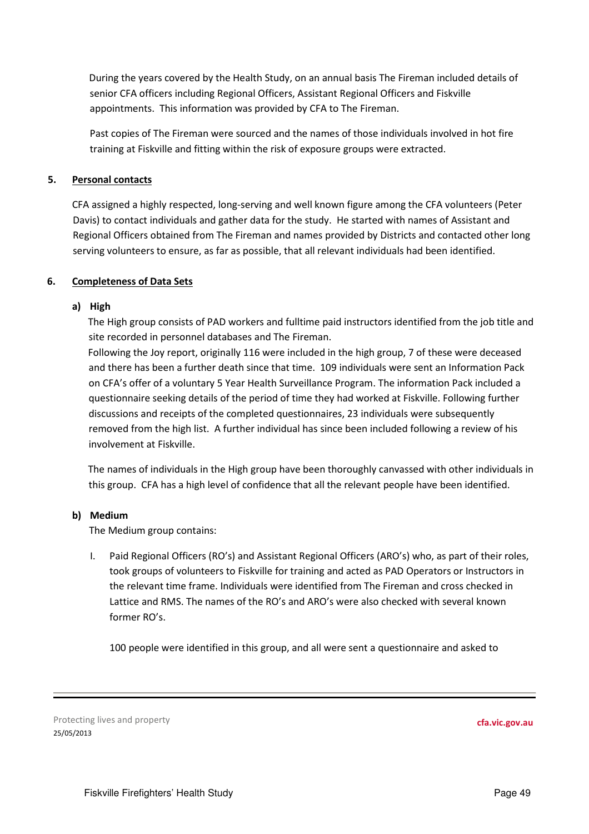During the years covered by the Health Study, on an annual basis The Fireman included details of senior CFA officers including Regional Officers, Assistant Regional Officers and Fiskville appointments. This information was provided by CFA to The Fireman.

Past copies of The Fireman were sourced and the names of those individuals involved in hot fire training at Fiskville and fitting within the risk of exposure groups were extracted.

#### 5. Personal contacts

CFA assigned a highly respected, long-serving and well known figure among the CFA volunteers (Peter Davis) to contact individuals and gather data for the study. He started with names of Assistant and Regional Officers obtained from The Fireman and names provided by Districts and contacted other long serving volunteers to ensure, as far as possible, that all relevant individuals had been identified.

#### 6. Completeness of Data Sets

#### a) High

The High group consists of PAD workers and fulltime paid instructors identified from the job title and site recorded in personnel databases and The Fireman.

Following the Joy report, originally 116 were included in the high group, 7 of these were deceased and there has been a further death since that time. 109 individuals were sent an Information Pack on CFA's offer of a voluntary 5 Year Health Surveillance Program. The information Pack included a questionnaire seeking details of the period of time they had worked at Fiskville. Following further discussions and receipts of the completed questionnaires, 23 individuals were subsequently removed from the high list. A further individual has since been included following a review of his involvement at Fiskville.

The names of individuals in the High group have been thoroughly canvassed with other individuals in this group. CFA has a high level of confidence that all the relevant people have been identified.

#### b) Medium

The Medium group contains:

I. Paid Regional Officers (RO's) and Assistant Regional Officers (ARO's) who, as part of their roles, took groups of volunteers to Fiskville for training and acted as PAD Operators or Instructors in the relevant time frame. Individuals were identified from The Fireman and cross checked in Lattice and RMS. The names of the RO's and ARO's were also checked with several known former RO's.

100 people were identified in this group, and all were sent a questionnaire and asked to

Protecting lives and property 25/05/2013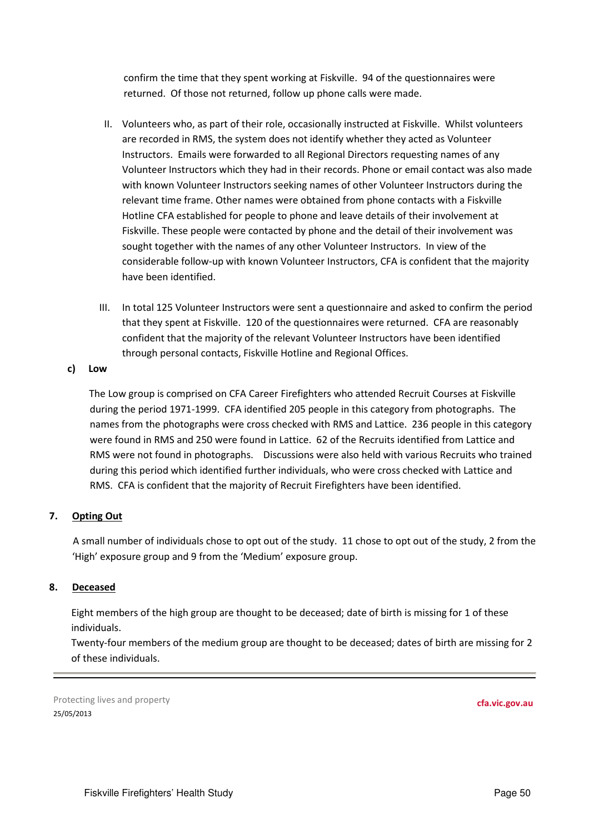confirm the time that they spent working at Fiskville. 94 of the questionnaires were returned. Of those not returned, follow up phone calls were made.

- II. Volunteers who, as part of their role, occasionally instructed at Fiskville. Whilst volunteers are recorded in RMS, the system does not identify whether they acted as Volunteer Instructors. Emails were forwarded to all Regional Directors requesting names of any Volunteer Instructors which they had in their records. Phone or email contact was also made with known Volunteer Instructors seeking names of other Volunteer Instructors during the relevant time frame. Other names were obtained from phone contacts with a Fiskville Hotline CFA established for people to phone and leave details of their involvement at Fiskville. These people were contacted by phone and the detail of their involvement was sought together with the names of any other Volunteer Instructors. In view of the considerable follow-up with known Volunteer Instructors, CFA is confident that the majority have been identified.
- III. In total 125 Volunteer Instructors were sent a questionnaire and asked to confirm the period that they spent at Fiskville. 120 of the questionnaires were returned. CFA are reasonably confident that the majority of the relevant Volunteer Instructors have been identified through personal contacts, Fiskville Hotline and Regional Offices.

#### c) Low

The Low group is comprised on CFA Career Firefighters who attended Recruit Courses at Fiskville during the period 1971-1999. CFA identified 205 people in this category from photographs. The names from the photographs were cross checked with RMS and Lattice. 236 people in this category were found in RMS and 250 were found in Lattice. 62 of the Recruits identified from Lattice and RMS were not found in photographs. Discussions were also held with various Recruits who trained during this period which identified further individuals, who were cross checked with Lattice and RMS. CFA is confident that the majority of Recruit Firefighters have been identified.

#### 7. Opting Out

A small number of individuals chose to opt out of the study. 11 chose to opt out of the study, 2 from the 'High' exposure group and 9 from the 'Medium' exposure group.

#### 8. Deceased

Eight members of the high group are thought to be deceased; date of birth is missing for 1 of these individuals.

Twenty-four members of the medium group are thought to be deceased; dates of birth are missing for 2 of these individuals.

Protecting lives and property 25/05/2013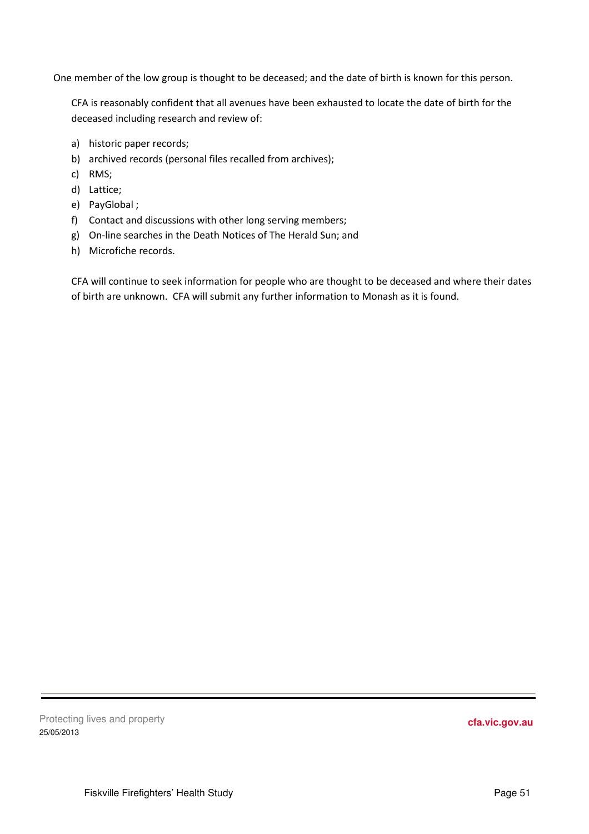One member of the low group is thought to be deceased; and the date of birth is known for this person.

CFA is reasonably confident that all avenues have been exhausted to locate the date of birth for the deceased including research and review of:

- a) historic paper records;
- b) archived records (personal files recalled from archives);
- c) RMS;
- d) Lattice;
- e) PayGlobal ;
- f) Contact and discussions with other long serving members;
- g) On-line searches in the Death Notices of The Herald Sun; and
- h) Microfiche records.

CFA will continue to seek information for people who are thought to be deceased and where their dates of birth are unknown. CFA will submit any further information to Monash as it is found.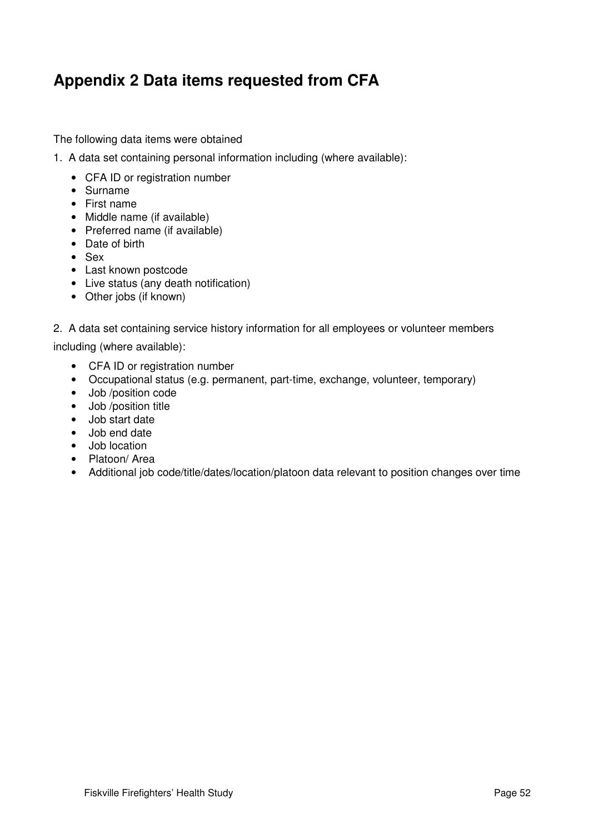# **Appendix 2 Data items requested from CFA**

The following data items were obtained

- 1. A data set containing personal information including (where available):
	- CFA ID or registration number
	- Surname
	- First name
	- Middle name (if available)
	- Preferred name (if available)
	- Date of birth
	- Sex
	- Last known postcode
	- Live status (any death notification)
	- Other jobs (if known)
- 2. A data set containing service history information for all employees or volunteer members

including (where available):

- CFA ID or registration number
- Occupational status (e.g. permanent, part-time, exchange, volunteer, temporary)
- Job /position code
- Job /position title
- Job start date
- Job end date
- Job location
- Platoon/ Area
- Additional job code/title/dates/location/platoon data relevant to position changes over time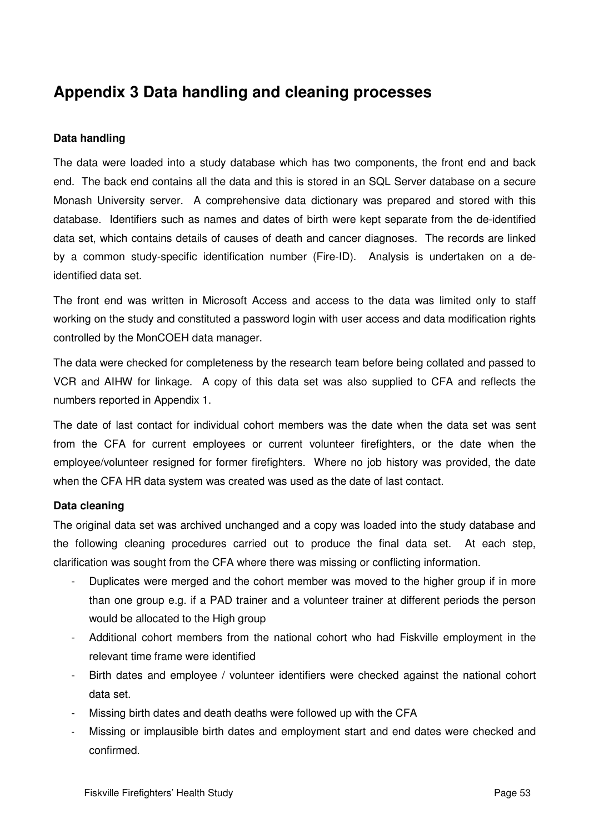# **Appendix 3 Data handling and cleaning processes**

#### **Data handling**

The data were loaded into a study database which has two components, the front end and back end. The back end contains all the data and this is stored in an SQL Server database on a secure Monash University server. A comprehensive data dictionary was prepared and stored with this database. Identifiers such as names and dates of birth were kept separate from the de-identified data set, which contains details of causes of death and cancer diagnoses. The records are linked by a common study-specific identification number (Fire-ID). Analysis is undertaken on a deidentified data set.

The front end was written in Microsoft Access and access to the data was limited only to staff working on the study and constituted a password login with user access and data modification rights controlled by the MonCOEH data manager.

The data were checked for completeness by the research team before being collated and passed to VCR and AIHW for linkage. A copy of this data set was also supplied to CFA and reflects the numbers reported in Appendix 1.

The date of last contact for individual cohort members was the date when the data set was sent from the CFA for current employees or current volunteer firefighters, or the date when the employee/volunteer resigned for former firefighters. Where no job history was provided, the date when the CFA HR data system was created was used as the date of last contact.

#### **Data cleaning**

The original data set was archived unchanged and a copy was loaded into the study database and the following cleaning procedures carried out to produce the final data set. At each step, clarification was sought from the CFA where there was missing or conflicting information.

- Duplicates were merged and the cohort member was moved to the higher group if in more than one group e.g. if a PAD trainer and a volunteer trainer at different periods the person would be allocated to the High group
- Additional cohort members from the national cohort who had Fiskville employment in the relevant time frame were identified
- Birth dates and employee / volunteer identifiers were checked against the national cohort data set.
- Missing birth dates and death deaths were followed up with the CFA
- Missing or implausible birth dates and employment start and end dates were checked and confirmed.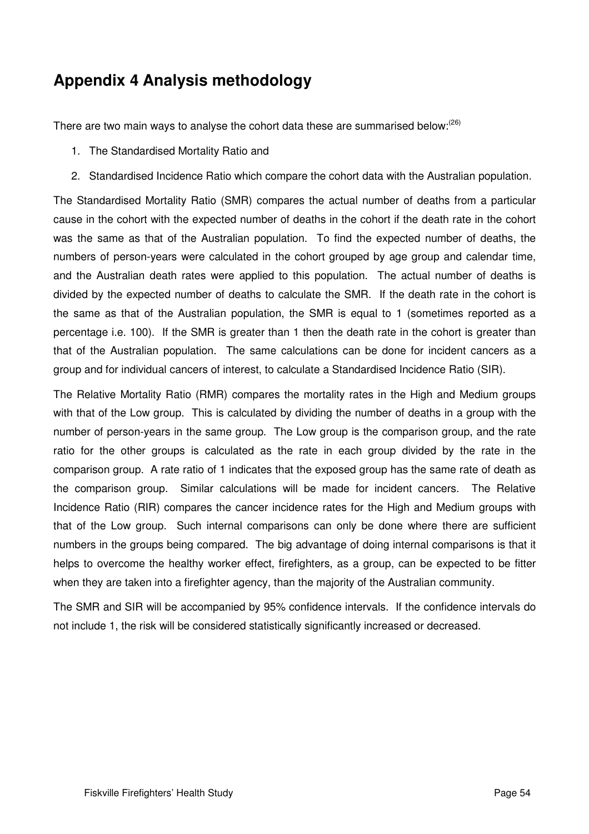# **Appendix 4 Analysis methodology**

There are two main ways to analyse the cohort data these are summarised below: $^{(26)}$ 

- 1. The Standardised Mortality Ratio and
- 2. Standardised Incidence Ratio which compare the cohort data with the Australian population.

The Standardised Mortality Ratio (SMR) compares the actual number of deaths from a particular cause in the cohort with the expected number of deaths in the cohort if the death rate in the cohort was the same as that of the Australian population. To find the expected number of deaths, the numbers of person-years were calculated in the cohort grouped by age group and calendar time, and the Australian death rates were applied to this population. The actual number of deaths is divided by the expected number of deaths to calculate the SMR. If the death rate in the cohort is the same as that of the Australian population, the SMR is equal to 1 (sometimes reported as a percentage i.e. 100). If the SMR is greater than 1 then the death rate in the cohort is greater than that of the Australian population. The same calculations can be done for incident cancers as a group and for individual cancers of interest, to calculate a Standardised Incidence Ratio (SIR).

The Relative Mortality Ratio (RMR) compares the mortality rates in the High and Medium groups with that of the Low group. This is calculated by dividing the number of deaths in a group with the number of person-years in the same group. The Low group is the comparison group, and the rate ratio for the other groups is calculated as the rate in each group divided by the rate in the comparison group. A rate ratio of 1 indicates that the exposed group has the same rate of death as the comparison group. Similar calculations will be made for incident cancers. The Relative Incidence Ratio (RIR) compares the cancer incidence rates for the High and Medium groups with that of the Low group. Such internal comparisons can only be done where there are sufficient numbers in the groups being compared. The big advantage of doing internal comparisons is that it helps to overcome the healthy worker effect, firefighters, as a group, can be expected to be fitter when they are taken into a firefighter agency, than the majority of the Australian community.

The SMR and SIR will be accompanied by 95% confidence intervals. If the confidence intervals do not include 1, the risk will be considered statistically significantly increased or decreased.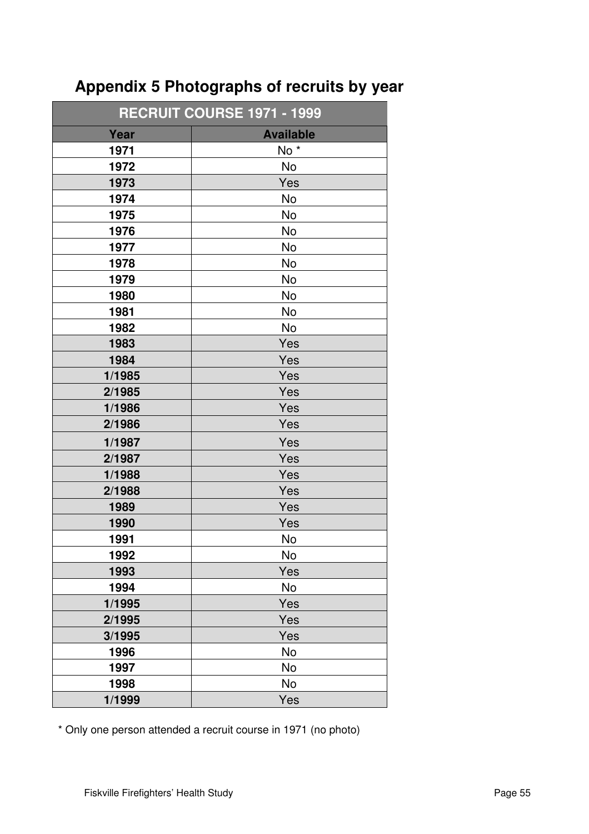| <b>RECRUIT COURSE 1971 - 1999</b> |                  |  |  |  |
|-----------------------------------|------------------|--|--|--|
| Year                              | <b>Available</b> |  |  |  |
| 1971                              | No <sup>*</sup>  |  |  |  |
| 1972                              | No               |  |  |  |
| 1973                              | Yes              |  |  |  |
| 1974                              | No               |  |  |  |
| 1975                              | No               |  |  |  |
| 1976                              | No               |  |  |  |
| 1977                              | No               |  |  |  |
| 1978                              | <b>No</b>        |  |  |  |
| 1979                              | No               |  |  |  |
| 1980                              | <b>No</b>        |  |  |  |
| 1981                              | No               |  |  |  |
| 1982                              | No               |  |  |  |
| 1983                              | Yes              |  |  |  |
| 1984                              | Yes              |  |  |  |
| 1/1985                            | Yes              |  |  |  |
| 2/1985                            | Yes              |  |  |  |
| 1/1986                            | Yes              |  |  |  |
| 2/1986                            | Yes              |  |  |  |
| 1/1987                            | Yes              |  |  |  |
| 2/1987                            | Yes              |  |  |  |
| 1/1988                            | Yes              |  |  |  |
| 2/1988                            | Yes              |  |  |  |
| 1989                              | Yes              |  |  |  |
| 1990                              | Yes              |  |  |  |
| 1991                              | No               |  |  |  |
| 1992                              | No               |  |  |  |
| 1993                              | Yes              |  |  |  |
| 1994                              | No               |  |  |  |
| 1/1995                            | Yes              |  |  |  |
| 2/1995                            | Yes              |  |  |  |
| 3/1995                            | Yes              |  |  |  |
| 1996                              | No               |  |  |  |
| 1997                              | No               |  |  |  |
| 1998                              | No               |  |  |  |
| 1/1999                            | Yes              |  |  |  |

# **Appendix 5 Photographs of recruits by year**

\* Only one person attended a recruit course in 1971 (no photo)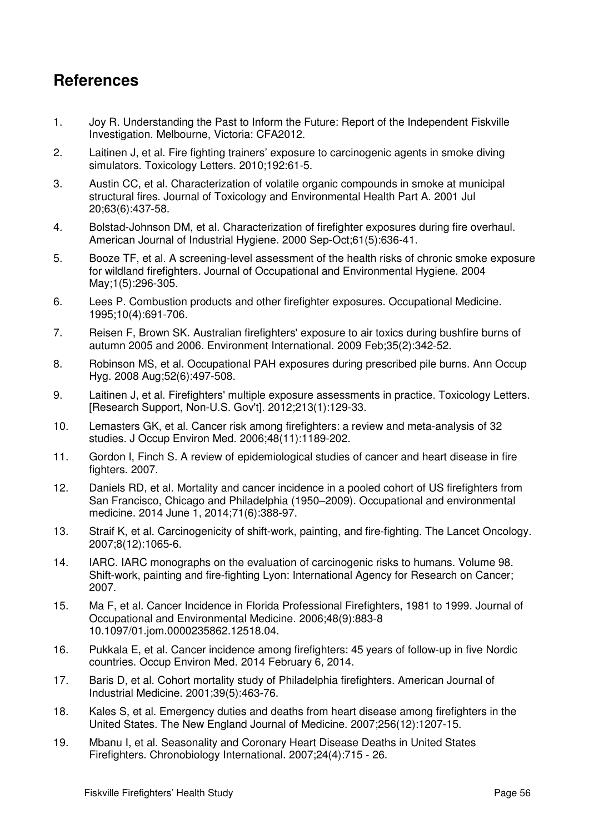# **References**

- 1. Joy R. Understanding the Past to Inform the Future: Report of the Independent Fiskville Investigation. Melbourne, Victoria: CFA2012.
- 2. Laitinen J, et al. Fire fighting trainers' exposure to carcinogenic agents in smoke diving simulators. Toxicology Letters. 2010;192:61-5.
- 3. Austin CC, et al. Characterization of volatile organic compounds in smoke at municipal structural fires. Journal of Toxicology and Environmental Health Part A. 2001 Jul 20;63(6):437-58.
- 4. Bolstad-Johnson DM, et al. Characterization of firefighter exposures during fire overhaul. American Journal of Industrial Hygiene. 2000 Sep-Oct;61(5):636-41.
- 5. Booze TF, et al. A screening-level assessment of the health risks of chronic smoke exposure for wildland firefighters. Journal of Occupational and Environmental Hygiene. 2004 May;1(5):296-305.
- 6. Lees P. Combustion products and other firefighter exposures. Occupational Medicine. 1995;10(4):691-706.
- 7. Reisen F, Brown SK. Australian firefighters' exposure to air toxics during bushfire burns of autumn 2005 and 2006. Environment International. 2009 Feb;35(2):342-52.
- 8. Robinson MS, et al. Occupational PAH exposures during prescribed pile burns. Ann Occup Hyg. 2008 Aug;52(6):497-508.
- 9. Laitinen J, et al. Firefighters' multiple exposure assessments in practice. Toxicology Letters. [Research Support, Non-U.S. Gov't]. 2012;213(1):129-33.
- 10. Lemasters GK, et al. Cancer risk among firefighters: a review and meta-analysis of 32 studies. J Occup Environ Med. 2006;48(11):1189-202.
- 11. Gordon I, Finch S. A review of epidemiological studies of cancer and heart disease in fire fighters. 2007.
- 12. Daniels RD, et al. Mortality and cancer incidence in a pooled cohort of US firefighters from San Francisco, Chicago and Philadelphia (1950–2009). Occupational and environmental medicine. 2014 June 1, 2014;71(6):388-97.
- 13. Straif K, et al. Carcinogenicity of shift-work, painting, and fire-fighting. The Lancet Oncology. 2007;8(12):1065-6.
- 14. IARC. IARC monographs on the evaluation of carcinogenic risks to humans. Volume 98. Shift-work, painting and fire-fighting Lyon: International Agency for Research on Cancer; 2007.
- 15. Ma F, et al. Cancer Incidence in Florida Professional Firefighters, 1981 to 1999. Journal of Occupational and Environmental Medicine. 2006;48(9):883-8 10.1097/01.jom.0000235862.12518.04.
- 16. Pukkala E, et al. Cancer incidence among firefighters: 45 years of follow-up in five Nordic countries. Occup Environ Med. 2014 February 6, 2014.
- 17. Baris D, et al. Cohort mortality study of Philadelphia firefighters. American Journal of Industrial Medicine. 2001;39(5):463-76.
- 18. Kales S, et al. Emergency duties and deaths from heart disease among firefighters in the United States. The New England Journal of Medicine. 2007;256(12):1207-15.
- 19. Mbanu I, et al. Seasonality and Coronary Heart Disease Deaths in United States Firefighters. Chronobiology International. 2007;24(4):715 - 26.